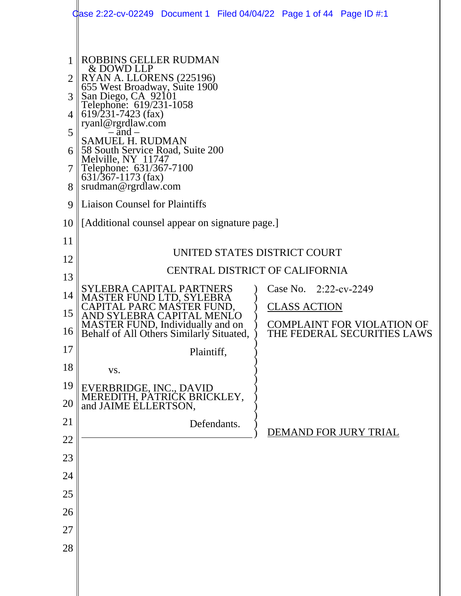|    | Gase 2:22-cv-02249 Document 1 Filed 04/04/22 Page 1 of 44 Page ID #:1               |            |             |                                       |                                                                  |  |  |  |
|----|-------------------------------------------------------------------------------------|------------|-------------|---------------------------------------|------------------------------------------------------------------|--|--|--|
|    |                                                                                     |            |             |                                       |                                                                  |  |  |  |
| 1  | <b>ROBBINS GELLER RUDMAN</b><br>& DOWD LLP                                          |            |             |                                       |                                                                  |  |  |  |
| 2  | RYAN A. LLORENS (225196)<br>655 West Broadway, Suite 1900                           |            |             |                                       |                                                                  |  |  |  |
| 3  | San Diego, CA 92101<br>Telephone: 619/231-1058                                      |            |             |                                       |                                                                  |  |  |  |
| 4  | $619/231 - 7423$ (fax)                                                              |            |             |                                       |                                                                  |  |  |  |
| 5  | ryanl@rgrdlaw.com<br>$-\bar{a}nd -$                                                 |            |             |                                       |                                                                  |  |  |  |
| 6  | <b>SAMUEL H. RUDMAN</b><br>58 South Service Road, Suite 200                         |            |             |                                       |                                                                  |  |  |  |
| 7  | Melville, NY 11747<br>Telephone: 631/367-7100                                       |            |             |                                       |                                                                  |  |  |  |
| 8  | $631/367 - 1173$ (fax)<br>srudman@rgrdlaw.com                                       |            |             |                                       |                                                                  |  |  |  |
| 9  | <b>Liaison Counsel for Plaintiffs</b>                                               |            |             |                                       |                                                                  |  |  |  |
| 10 | [Additional counsel appear on signature page.]                                      |            |             |                                       |                                                                  |  |  |  |
| 11 |                                                                                     |            |             |                                       |                                                                  |  |  |  |
| 12 | UNITED STATES DISTRICT COURT                                                        |            |             |                                       |                                                                  |  |  |  |
| 13 |                                                                                     |            |             | <b>CENTRAL DISTRICT OF CALIFORNIA</b> |                                                                  |  |  |  |
| 14 | SYLEBRA CAPITAL PARTNERS<br>MASTER FUND LTD, SYLEBRA                                |            |             | Case No. 2:22-cv-2249                 |                                                                  |  |  |  |
| 15 | CAPITAL PARC MASTER FUND,<br>AND SYLEBRA CAPITAL MENLO                              |            |             | <b>CLASS ACTION</b>                   |                                                                  |  |  |  |
| 16 | <b>MASTER FUND, Individually and on</b><br>Behalf of All Others Similarly Situated, |            |             |                                       | <b>COMPLAINT FOR VIOLATION OF</b><br>THE FEDERAL SECURITIES LAWS |  |  |  |
| 17 |                                                                                     | Plaintiff, |             |                                       |                                                                  |  |  |  |
| 18 | VS.                                                                                 |            |             |                                       |                                                                  |  |  |  |
| 19 |                                                                                     |            |             |                                       |                                                                  |  |  |  |
| 20 | EVERBRIDGE, INC., DAVID<br>MEREDITH, PATRICK BRICKLEY,<br>and JAIME ELLERTSON,      |            |             |                                       |                                                                  |  |  |  |
| 21 |                                                                                     |            | Defendants. |                                       | DEMAND FOR JURY TRIAL                                            |  |  |  |
| 22 |                                                                                     |            |             |                                       |                                                                  |  |  |  |
| 23 |                                                                                     |            |             |                                       |                                                                  |  |  |  |
| 24 |                                                                                     |            |             |                                       |                                                                  |  |  |  |
| 25 |                                                                                     |            |             |                                       |                                                                  |  |  |  |
| 26 |                                                                                     |            |             |                                       |                                                                  |  |  |  |
| 27 |                                                                                     |            |             |                                       |                                                                  |  |  |  |
| 28 |                                                                                     |            |             |                                       |                                                                  |  |  |  |
|    |                                                                                     |            |             |                                       |                                                                  |  |  |  |
|    |                                                                                     |            |             |                                       |                                                                  |  |  |  |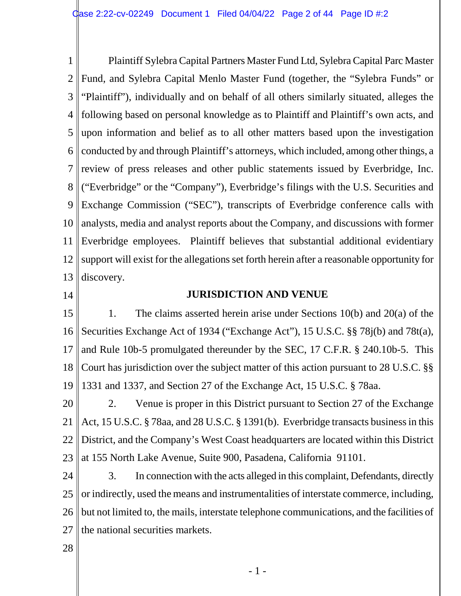1 2 3 4 5 6 7 8 9 10 11 12 13 Plaintiff Sylebra Capital Partners Master Fund Ltd, Sylebra Capital Parc Master Fund, and Sylebra Capital Menlo Master Fund (together, the "Sylebra Funds" or "Plaintiff"), individually and on behalf of all others similarly situated, alleges the following based on personal knowledge as to Plaintiff and Plaintiff's own acts, and upon information and belief as to all other matters based upon the investigation conducted by and through Plaintiff's attorneys, which included, among other things, a review of press releases and other public statements issued by Everbridge, Inc. ("Everbridge" or the "Company"), Everbridge's filings with the U.S. Securities and Exchange Commission ("SEC"), transcripts of Everbridge conference calls with analysts, media and analyst reports about the Company, and discussions with former Everbridge employees. Plaintiff believes that substantial additional evidentiary support will exist for the allegations set forth herein after a reasonable opportunity for discovery.

14

# **JURISDICTION AND VENUE**

15 16 17 18 19 1. The claims asserted herein arise under Sections 10(b) and 20(a) of the Securities Exchange Act of 1934 ("Exchange Act"), 15 U.S.C. §§ 78j(b) and 78t(a), and Rule 10b-5 promulgated thereunder by the SEC, 17 C.F.R. § 240.10b-5. This Court has jurisdiction over the subject matter of this action pursuant to 28 U.S.C. §§ 1331 and 1337, and Section 27 of the Exchange Act, 15 U.S.C. § 78aa.

20 21 22 23 2. Venue is proper in this District pursuant to Section 27 of the Exchange Act, 15 U.S.C. § 78aa, and 28 U.S.C. § 1391(b). Everbridge transacts business in this District, and the Company's West Coast headquarters are located within this District at 155 North Lake Avenue, Suite 900, Pasadena, California 91101.

24 25 26 27 3. In connection with the acts alleged in this complaint, Defendants, directly or indirectly, used the means and instrumentalities of interstate commerce, including, but not limited to, the mails, interstate telephone communications, and the facilities of the national securities markets.

28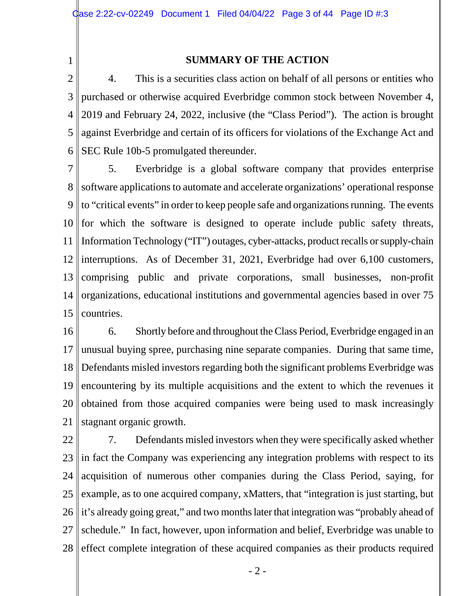1

# **SUMMARY OF THE ACTION**

2 3 4 5 6 4. This is a securities class action on behalf of all persons or entities who purchased or otherwise acquired Everbridge common stock between November 4, 2019 and February 24, 2022, inclusive (the "Class Period"). The action is brought against Everbridge and certain of its officers for violations of the Exchange Act and SEC Rule 10b-5 promulgated thereunder.

7 8 Software applications to automate and accelerate organizations' operational response 9 10 11 12 13 14 15 5. Everbridge is a global software company that provides enterprise to "critical events" in order to keep people safe and organizations running. The events for which the software is designed to operate include public safety threats, Information Technology ("IT") outages, cyber-attacks, product recalls or supply-chain interruptions. As of December 31, 2021, Everbridge had over 6,100 customers, comprising public and private corporations, small businesses, non-profit organizations, educational institutions and governmental agencies based in over 75 countries.

16 17 18 19 20 21 6. Shortly before and throughout the Class Period, Everbridge engaged in an unusual buying spree, purchasing nine separate companies. During that same time, Defendants misled investors regarding both the significant problems Everbridge was encountering by its multiple acquisitions and the extent to which the revenues it obtained from those acquired companies were being used to mask increasingly stagnant organic growth.

22 23 24 25 26 27 28 7. Defendants misled investors when they were specifically asked whether in fact the Company was experiencing any integration problems with respect to its acquisition of numerous other companies during the Class Period, saying, for example, as to one acquired company, xMatters, that "integration is just starting, but it's already going great," and two months later that integration was "probably ahead of schedule." In fact, however, upon information and belief, Everbridge was unable to effect complete integration of these acquired companies as their products required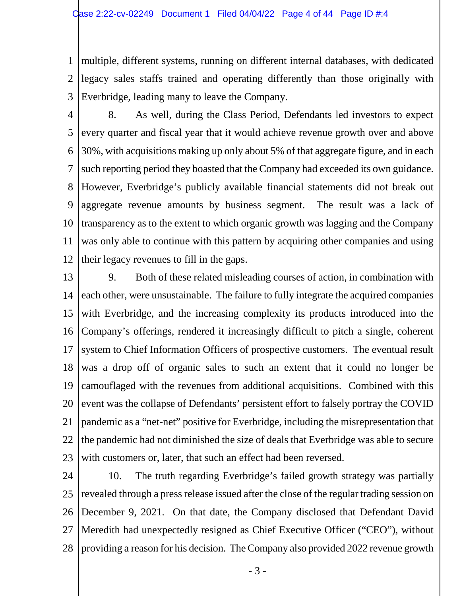1 2 3 multiple, different systems, running on different internal databases, with dedicated legacy sales staffs trained and operating differently than those originally with Everbridge, leading many to leave the Company.

4 5 6 7 8 9 10 11 12 8. As well, during the Class Period, Defendants led investors to expect every quarter and fiscal year that it would achieve revenue growth over and above 30%, with acquisitions making up only about 5% of that aggregate figure, and in each such reporting period they boasted that the Company had exceeded its own guidance. However, Everbridge's publicly available financial statements did not break out aggregate revenue amounts by business segment. The result was a lack of transparency as to the extent to which organic growth was lagging and the Company was only able to continue with this pattern by acquiring other companies and using their legacy revenues to fill in the gaps.

- 13 14 15 16 17 18 19 20 21 22 23 9. Both of these related misleading courses of action, in combination with each other, were unsustainable. The failure to fully integrate the acquired companies with Everbridge, and the increasing complexity its products introduced into the Company's offerings, rendered it increasingly difficult to pitch a single, coherent system to Chief Information Officers of prospective customers. The eventual result was a drop off of organic sales to such an extent that it could no longer be camouflaged with the revenues from additional acquisitions. Combined with this event was the collapse of Defendants' persistent effort to falsely portray the COVID pandemic as a "net-net" positive for Everbridge, including the misrepresentation that the pandemic had not diminished the size of deals that Everbridge was able to secure with customers or, later, that such an effect had been reversed.
- 24 25 26 27 28 10. The truth regarding Everbridge's failed growth strategy was partially revealed through a press release issued after the close of the regular trading session on December 9, 2021. On that date, the Company disclosed that Defendant David Meredith had unexpectedly resigned as Chief Executive Officer ("CEO"), without providing a reason for his decision. The Company also provided 2022 revenue growth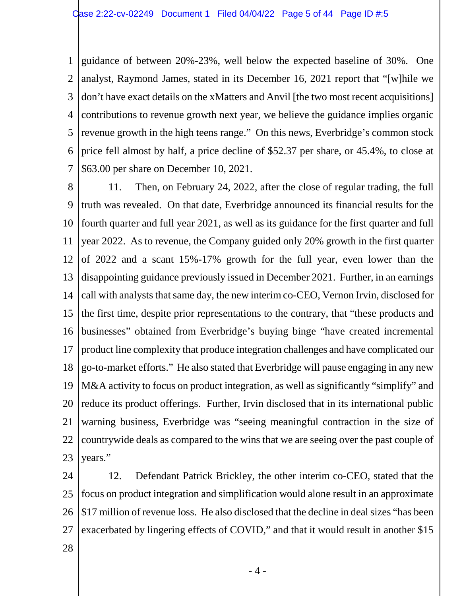1 2 3 4 5 6 7 guidance of between 20%-23%, well below the expected baseline of 30%. One analyst, Raymond James, stated in its December 16, 2021 report that "[w]hile we don't have exact details on the xMatters and Anvil [the two most recent acquisitions] contributions to revenue growth next year, we believe the guidance implies organic revenue growth in the high teens range." On this news, Everbridge's common stock price fell almost by half, a price decline of \$52.37 per share, or 45.4%, to close at \$63.00 per share on December 10, 2021.

8 9 10 11 12 13 14 15 16 17 18 19 20 21 22 23 11. Then, on February 24, 2022, after the close of regular trading, the full truth was revealed. On that date, Everbridge announced its financial results for the fourth quarter and full year 2021, as well as its guidance for the first quarter and full year 2022. As to revenue, the Company guided only 20% growth in the first quarter of 2022 and a scant 15%-17% growth for the full year, even lower than the disappointing guidance previously issued in December 2021. Further, in an earnings call with analysts that same day, the new interim co-CEO, Vernon Irvin, disclosed for the first time, despite prior representations to the contrary, that "these products and businesses" obtained from Everbridge's buying binge "have created incremental product line complexity that produce integration challenges and have complicated our go-to-market efforts." He also stated that Everbridge will pause engaging in any new M&A activity to focus on product integration, as well as significantly "simplify" and reduce its product offerings. Further, Irvin disclosed that in its international public warning business, Everbridge was "seeing meaningful contraction in the size of countrywide deals as compared to the wins that we are seeing over the past couple of years."

24 25 26 27 12. Defendant Patrick Brickley, the other interim co-CEO, stated that the focus on product integration and simplification would alone result in an approximate \$17 million of revenue loss. He also disclosed that the decline in deal sizes "has been exacerbated by lingering effects of COVID," and that it would result in another \$15

28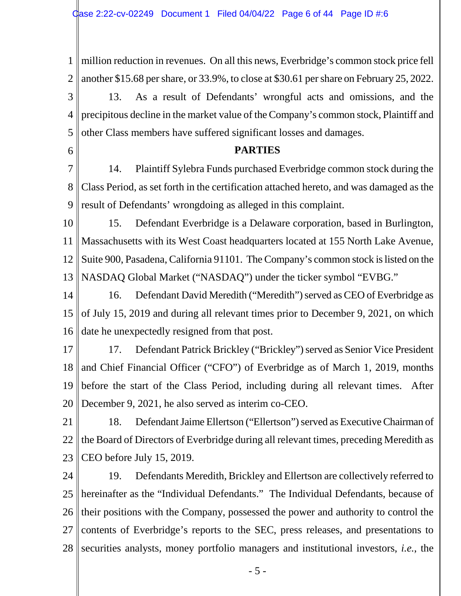1 2 3 4 5 million reduction in revenues. On all this news, Everbridge's common stock price fell another \$15.68 per share, or 33.9%, to close at \$30.61 per share on February 25, 2022. 13. As a result of Defendants' wrongful acts and omissions, and the precipitous decline in the market value of the Company's common stock, Plaintiff and other Class members have suffered significant losses and damages.

# **PARTIES**

6

7 8 9 14. Plaintiff Sylebra Funds purchased Everbridge common stock during the Class Period, as set forth in the certification attached hereto, and was damaged as the result of Defendants' wrongdoing as alleged in this complaint.

10 11 12 13 15. Defendant Everbridge is a Delaware corporation, based in Burlington, Massachusetts with its West Coast headquarters located at 155 North Lake Avenue, Suite 900, Pasadena, California 91101. The Company's common stock is listed on the NASDAQ Global Market ("NASDAQ") under the ticker symbol "EVBG."

14 15 16 16. Defendant David Meredith ("Meredith") served as CEO of Everbridge as of July 15, 2019 and during all relevant times prior to December 9, 2021, on which date he unexpectedly resigned from that post.

17 18 19 20 17. Defendant Patrick Brickley ("Brickley") served as Senior Vice President and Chief Financial Officer ("CFO") of Everbridge as of March 1, 2019, months before the start of the Class Period, including during all relevant times. After December 9, 2021, he also served as interim co-CEO.

21 22 23 18. Defendant Jaime Ellertson ("Ellertson") served as Executive Chairman of the Board of Directors of Everbridge during all relevant times, preceding Meredith as CEO before July 15, 2019.

24 25 26 27 28 19. Defendants Meredith, Brickley and Ellertson are collectively referred to hereinafter as the "Individual Defendants." The Individual Defendants, because of their positions with the Company, possessed the power and authority to control the contents of Everbridge's reports to the SEC, press releases, and presentations to securities analysts, money portfolio managers and institutional investors, *i.e.*, the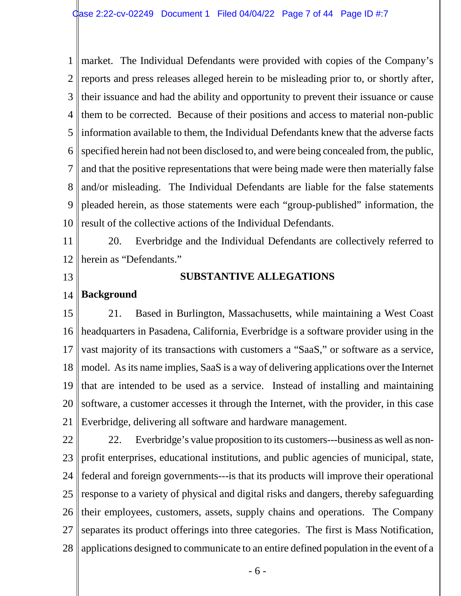1 2 3 4 5 6 7 8 9 10 market. The Individual Defendants were provided with copies of the Company's reports and press releases alleged herein to be misleading prior to, or shortly after, their issuance and had the ability and opportunity to prevent their issuance or cause them to be corrected. Because of their positions and access to material non-public information available to them, the Individual Defendants knew that the adverse facts specified herein had not been disclosed to, and were being concealed from, the public, and that the positive representations that were being made were then materially false and/or misleading. The Individual Defendants are liable for the false statements pleaded herein, as those statements were each "group-published" information, the result of the collective actions of the Individual Defendants.

11 12 20. Everbridge and the Individual Defendants are collectively referred to herein as "Defendants."

13

21

# **SUBSTANTIVE ALLEGATIONS**

#### 14 **Background**

#### 15 16 17 18 19 20 21. Based in Burlington, Massachusetts, while maintaining a West Coast headquarters in Pasadena, California, Everbridge is a software provider using in the vast majority of its transactions with customers a "SaaS," or software as a service, model. As its name implies, SaaS is a way of delivering applications over the Internet that are intended to be used as a service. Instead of installing and maintaining software, a customer accesses it through the Internet, with the provider, in this case

22 23 24 25 26 27 28 22. Everbridge's value proposition to its customers---business as well as nonprofit enterprises, educational institutions, and public agencies of municipal, state, federal and foreign governments---is that its products will improve their operational response to a variety of physical and digital risks and dangers, thereby safeguarding their employees, customers, assets, supply chains and operations. The Company separates its product offerings into three categories. The first is Mass Notification, applications designed to communicate to an entire defined population in the event of a

Everbridge, delivering all software and hardware management.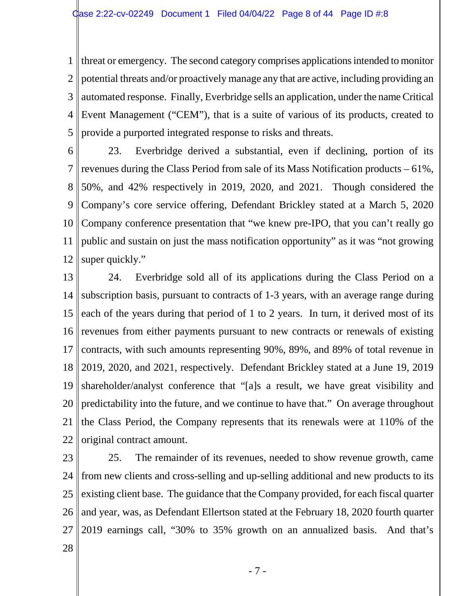1 2 3 4 5 threat or emergency. The second category comprises applications intended to monitor potential threats and/or proactively manage any that are active, including providing an automated response. Finally, Everbridge sells an application, under the name Critical Event Management ("CEM"), that is a suite of various of its products, created to provide a purported integrated response to risks and threats.

- 6 7 8 9 10 11 12 23. Everbridge derived a substantial, even if declining, portion of its revenues during the Class Period from sale of its Mass Notification products – 61%, 50%, and 42% respectively in 2019, 2020, and 2021. Though considered the Company's core service offering, Defendant Brickley stated at a March 5, 2020 Company conference presentation that "we knew pre-IPO, that you can't really go public and sustain on just the mass notification opportunity" as it was "not growing super quickly."
- 13 14 15 16 17 18 19 20 21 22 24. Everbridge sold all of its applications during the Class Period on a subscription basis, pursuant to contracts of 1-3 years, with an average range during each of the years during that period of 1 to 2 years. In turn, it derived most of its revenues from either payments pursuant to new contracts or renewals of existing contracts, with such amounts representing 90%, 89%, and 89% of total revenue in 2019, 2020, and 2021, respectively. Defendant Brickley stated at a June 19, 2019 shareholder/analyst conference that "[a]s a result, we have great visibility and predictability into the future, and we continue to have that." On average throughout the Class Period, the Company represents that its renewals were at 110% of the original contract amount.
- 23 24 25 26 27 25. The remainder of its revenues, needed to show revenue growth, came from new clients and cross-selling and up-selling additional and new products to its existing client base. The guidance that the Company provided, for each fiscal quarter and year, was, as Defendant Ellertson stated at the February 18, 2020 fourth quarter 2019 earnings call, "30% to 35% growth on an annualized basis. And that's
- 28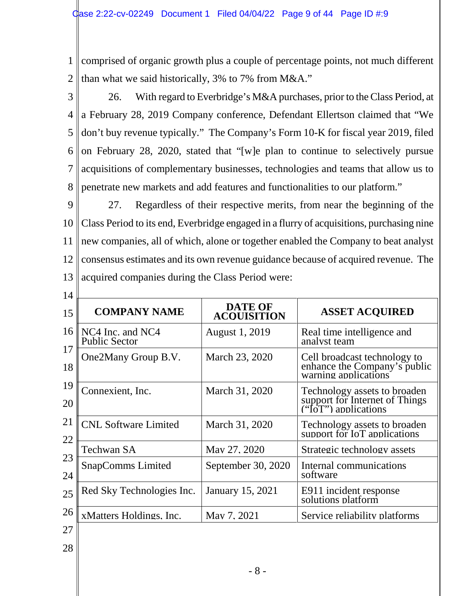1 2 comprised of organic growth plus a couple of percentage points, not much different than what we said historically, 3% to 7% from M&A."

3 4 5 6 7 8 26. With regard to Everbridge's M&A purchases, prior to the Class Period, at a February 28, 2019 Company conference, Defendant Ellertson claimed that "We don't buy revenue typically." The Company's Form 10-K for fiscal year 2019, filed on February 28, 2020, stated that "[w]e plan to continue to selectively pursue acquisitions of complementary businesses, technologies and teams that allow us to penetrate new markets and add features and functionalities to our platform."

9 10 11 12 13 27. Regardless of their respective merits, from near the beginning of the Class Period to its end, Everbridge engaged in a flurry of acquisitions, purchasing nine new companies, all of which, alone or together enabled the Company to beat analyst consensus estimates and its own revenue guidance because of acquired revenue. The acquired companies during the Class Period were:

| 14       |                                          |                                      |                                                                                        |  |  |  |  |  |
|----------|------------------------------------------|--------------------------------------|----------------------------------------------------------------------------------------|--|--|--|--|--|
| 15       | <b>COMPANY NAME</b>                      | <b>DATE OF</b><br><b>ACOUISITION</b> | <b>ASSET ACQUIRED</b>                                                                  |  |  |  |  |  |
| 16       | NC4 Inc. and NC4<br><b>Public Sector</b> | <b>August 1, 2019</b>                | Real time intelligence and<br>analyst team                                             |  |  |  |  |  |
| 17<br>18 | One2Many Group B.V.                      | March 23, 2020                       | Cell broadcast technology to<br>enhance the Company's public<br>warning applications   |  |  |  |  |  |
| 19<br>20 | Connexient, Inc.                         | March 31, 2020                       | Technology assets to broaden<br>support for Internet of Things<br>("IoT") applications |  |  |  |  |  |
| 21<br>22 | <b>CNL Software Limited</b>              | March 31, 2020                       | Technology assets to broaden<br>support for IoT applications                           |  |  |  |  |  |
|          | Techwan SA                               | May 27, 2020                         | Strategic technology assets                                                            |  |  |  |  |  |
| 23<br>24 | <b>SnapComms Limited</b>                 | September 30, 2020                   | Internal communications<br>software                                                    |  |  |  |  |  |
| 25       | Red Sky Technologies Inc.                | January 15, 2021                     | E911 incident response<br>solutions platform                                           |  |  |  |  |  |
| 26       | xMatters Holdings, Inc.                  | May 7, 2021                          | Service reliability platforms                                                          |  |  |  |  |  |
| 27       |                                          |                                      |                                                                                        |  |  |  |  |  |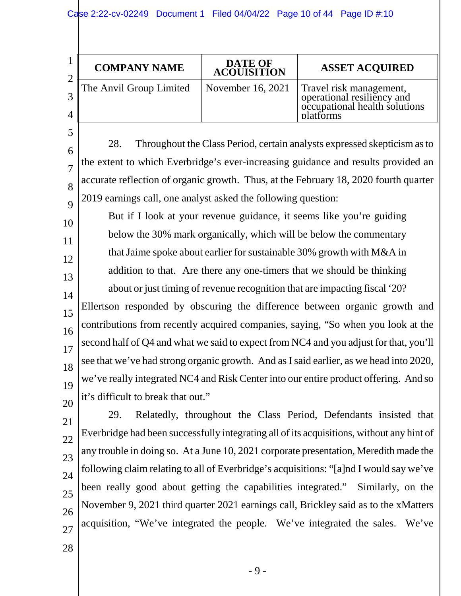|                          | <b>COMPANY NAME</b>     | <b>DATE OF</b><br><b>ACOUISITION</b> | <b>ASSET ACQUIRED</b>                                                                               |
|--------------------------|-------------------------|--------------------------------------|-----------------------------------------------------------------------------------------------------|
| ി<br>2<br>$\overline{4}$ | The Anvil Group Limited | November 16, 2021                    | Travel risk management,<br>operational resiliency and<br>occupational health solutions<br>platforms |

28. Throughout the Class Period, certain analysts expressed skepticism as to the extent to which Everbridge's ever-increasing guidance and results provided an accurate reflection of organic growth. Thus, at the February 18, 2020 fourth quarter 2019 earnings call, one analyst asked the following question:

10 11 12 13 14 15 16 17 18 19 20 But if I look at your revenue guidance, it seems like you're guiding below the 30% mark organically, which will be below the commentary that Jaime spoke about earlier for sustainable 30% growth with M&A in addition to that. Are there any one-timers that we should be thinking about or just timing of revenue recognition that are impacting fiscal '20? Ellertson responded by obscuring the difference between organic growth and contributions from recently acquired companies, saying, "So when you look at the second half of Q4 and what we said to expect from NC4 and you adjust for that, you'll see that we've had strong organic growth. And as I said earlier, as we head into 2020, we've really integrated NC4 and Risk Center into our entire product offering. And so it's difficult to break that out."

21 22 23  $24$ 25 26 27 29. Relatedly, throughout the Class Period, Defendants insisted that Everbridge had been successfully integrating all of its acquisitions, without any hint of any trouble in doing so. At a June 10, 2021 corporate presentation, Meredith made the following claim relating to all of Everbridge's acquisitions: "[a]nd I would say we've been really good about getting the capabilities integrated." Similarly, on the November 9, 2021 third quarter 2021 earnings call, Brickley said as to the xMatters acquisition, "We've integrated the people. We've integrated the sales. We've

28

5

6

7

8

 $\overline{Q}$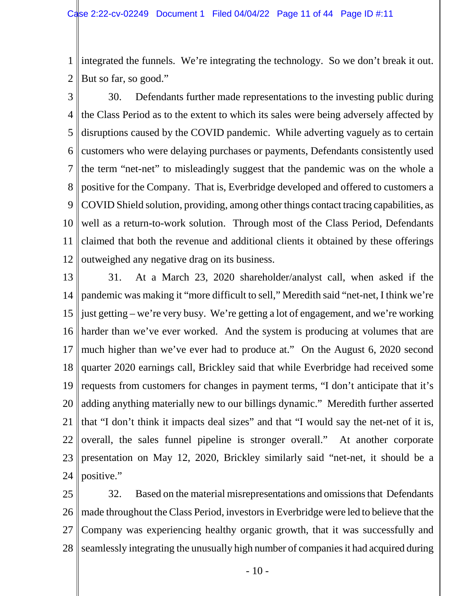1 2 integrated the funnels. We're integrating the technology. So we don't break it out. But so far, so good."

3 4 5 6 7 8 9 10 11 12 30. Defendants further made representations to the investing public during the Class Period as to the extent to which its sales were being adversely affected by disruptions caused by the COVID pandemic. While adverting vaguely as to certain customers who were delaying purchases or payments, Defendants consistently used the term "net-net" to misleadingly suggest that the pandemic was on the whole a positive for the Company. That is, Everbridge developed and offered to customers a COVID Shield solution, providing, among other things contact tracing capabilities, as well as a return-to-work solution. Through most of the Class Period, Defendants claimed that both the revenue and additional clients it obtained by these offerings outweighed any negative drag on its business.

13 14 15 16 17 18 19 20 21 22 23 24 31. At a March 23, 2020 shareholder/analyst call, when asked if the pandemic was making it "more difficult to sell," Meredith said "net-net, I think we're just getting – we're very busy. We're getting a lot of engagement, and we're working harder than we've ever worked. And the system is producing at volumes that are much higher than we've ever had to produce at." On the August 6, 2020 second quarter 2020 earnings call, Brickley said that while Everbridge had received some requests from customers for changes in payment terms, "I don't anticipate that it's adding anything materially new to our billings dynamic." Meredith further asserted that "I don't think it impacts deal sizes" and that "I would say the net-net of it is, overall, the sales funnel pipeline is stronger overall." At another corporate presentation on May 12, 2020, Brickley similarly said "net-net, it should be a positive."

25 26 27 28 32. Based on the material misrepresentations and omissions that Defendants made throughout the Class Period, investors in Everbridge were led to believe that the Company was experiencing healthy organic growth, that it was successfully and seamlessly integrating the unusually high number of companies it had acquired during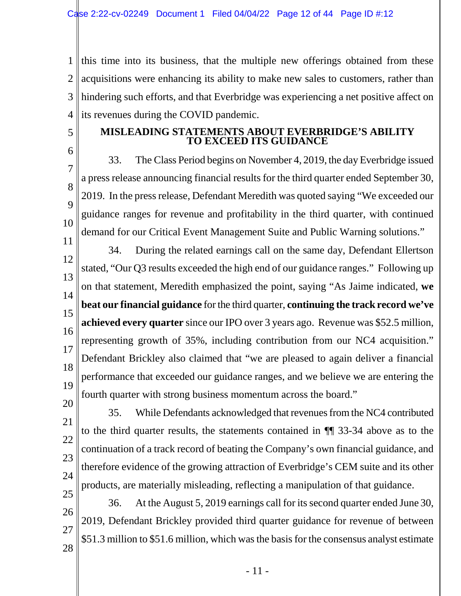1  $\mathcal{L}$ 3 4 this time into its business, that the multiple new offerings obtained from these acquisitions were enhancing its ability to make new sales to customers, rather than hindering such efforts, and that Everbridge was experiencing a net positive affect on its revenues during the COVID pandemic.

5

# **MISLEADING STATEMENTS ABOUT EVERBRIDGE'S ABILITY TO EXCEED ITS GUIDANCE**

6 7 8  $\overline{Q}$ 10 33. The Class Period begins on November 4, 2019, the day Everbridge issued a press release announcing financial results for the third quarter ended September 30, 2019. In the press release, Defendant Meredith was quoted saying "We exceeded our guidance ranges for revenue and profitability in the third quarter, with continued demand for our Critical Event Management Suite and Public Warning solutions."

11 12 13 14 15 16 17 18 19 20 34. During the related earnings call on the same day, Defendant Ellertson stated, "Our Q3 results exceeded the high end of our guidance ranges." Following up on that statement, Meredith emphasized the point, saying "As Jaime indicated, **we beat our financial guidance** for the third quarter, **continuing the track record we've achieved every quarter** since our IPO over 3 years ago. Revenue was \$52.5 million, representing growth of 35%, including contribution from our NC4 acquisition." Defendant Brickley also claimed that "we are pleased to again deliver a financial performance that exceeded our guidance ranges, and we believe we are entering the fourth quarter with strong business momentum across the board."

21 22 23  $24$ 25 35. While Defendants acknowledged that revenues from the NC4 contributed to the third quarter results, the statements contained in ¶¶ 33-34 above as to the continuation of a track record of beating the Company's own financial guidance, and therefore evidence of the growing attraction of Everbridge's CEM suite and its other products, are materially misleading, reflecting a manipulation of that guidance.

26 27 28 36. At the August 5, 2019 earnings call for its second quarter ended June 30, 2019, Defendant Brickley provided third quarter guidance for revenue of between \$51.3 million to \$51.6 million, which was the basis for the consensus analyst estimate

- 11 -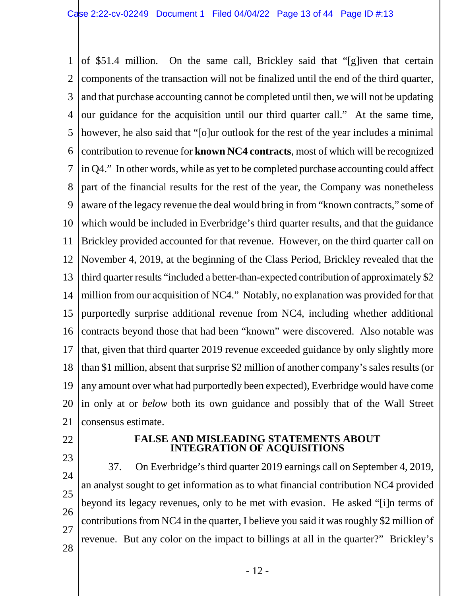1 2 3 4 5 6 7 8 9 10 11 12 13 14 15 16 17 18 19 20 21 of \$51.4 million. On the same call, Brickley said that "[g]iven that certain components of the transaction will not be finalized until the end of the third quarter, and that purchase accounting cannot be completed until then, we will not be updating our guidance for the acquisition until our third quarter call." At the same time, however, he also said that "[o]ur outlook for the rest of the year includes a minimal contribution to revenue for **known NC4 contracts**, most of which will be recognized in Q4." In other words, while as yet to be completed purchase accounting could affect part of the financial results for the rest of the year, the Company was nonetheless aware of the legacy revenue the deal would bring in from "known contracts," some of which would be included in Everbridge's third quarter results, and that the guidance Brickley provided accounted for that revenue. However, on the third quarter call on November 4, 2019, at the beginning of the Class Period, Brickley revealed that the third quarter results "included a better-than-expected contribution of approximately \$2 million from our acquisition of NC4." Notably, no explanation was provided for that purportedly surprise additional revenue from NC4, including whether additional contracts beyond those that had been "known" were discovered. Also notable was that, given that third quarter 2019 revenue exceeded guidance by only slightly more than \$1 million, absent that surprise \$2 million of another company's sales results (or any amount over what had purportedly been expected), Everbridge would have come in only at or *below* both its own guidance and possibly that of the Wall Street consensus estimate.

- 22
- 23

### **FALSE AND MISLEADING STATEMENTS ABOUT INTEGRATION OF ACQUISITIONS**

24 25 26 27 28 37. On Everbridge's third quarter 2019 earnings call on September 4, 2019, an analyst sought to get information as to what financial contribution NC4 provided beyond its legacy revenues, only to be met with evasion. He asked "[i]n terms of contributions from NC4 in the quarter, I believe you said it was roughly \$2 million of revenue. But any color on the impact to billings at all in the quarter?" Brickley's

- 12 -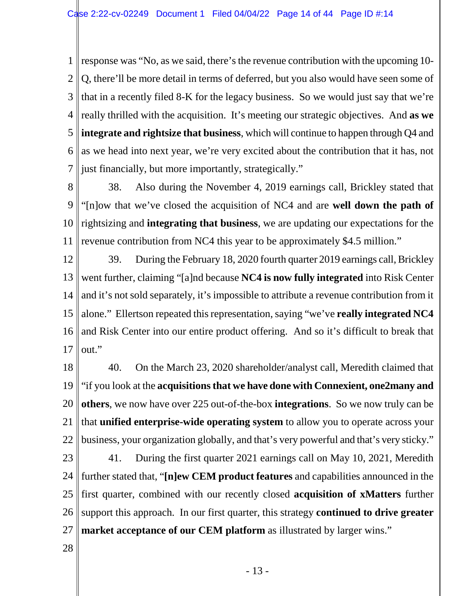1  $\mathcal{L}$ 3 4 5 6 7 response was "No, as we said, there's the revenue contribution with the upcoming 10- Q, there'll be more detail in terms of deferred, but you also would have seen some of that in a recently filed 8-K for the legacy business. So we would just say that we're really thrilled with the acquisition. It's meeting our strategic objectives. And **as we integrate and rightsize that business**, which will continue to happen through Q4 and as we head into next year, we're very excited about the contribution that it has, not just financially, but more importantly, strategically."

8 9 10 11 38. Also during the November 4, 2019 earnings call, Brickley stated that "[n]ow that we've closed the acquisition of NC4 and are **well down the path of** rightsizing and **integrating that business**, we are updating our expectations for the revenue contribution from NC4 this year to be approximately \$4.5 million."

12 13 14 15 16 17 39. During the February 18, 2020 fourth quarter 2019 earnings call, Brickley went further, claiming "[a]nd because **NC4 is now fully integrated** into Risk Center and it's not sold separately, it's impossible to attribute a revenue contribution from it alone." Ellertson repeated this representation, saying "we've **really integrated NC4** and Risk Center into our entire product offering. And so it's difficult to break that out."

18 19 20 21 22 40. On the March 23, 2020 shareholder/analyst call, Meredith claimed that "if you look at the **acquisitions that we have done with Connexient, one2many and others**, we now have over 225 out-of-the-box **integrations**. So we now truly can be that **unified enterprise-wide operating system** to allow you to operate across your business, your organization globally, and that's very powerful and that's very sticky."

23 24 25 26 27 41. During the first quarter 2021 earnings call on May 10, 2021, Meredith further stated that, "**[n]ew CEM product features** and capabilities announced in the first quarter, combined with our recently closed **acquisition of xMatters** further support this approach. In our first quarter, this strategy **continued to drive greater market acceptance of our CEM platform** as illustrated by larger wins."

28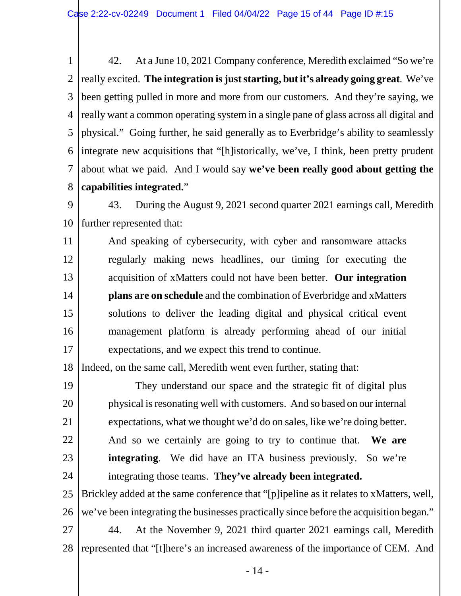1 2 3 4 really want a common operating system in a single pane of glass across all digital and 5 6 7 8 42. At a June 10, 2021 Company conference, Meredith exclaimed "So we're really excited. **The integration is just starting, but it's already going great**. We've been getting pulled in more and more from our customers. And they're saying, we physical." Going further, he said generally as to Everbridge's ability to seamlessly integrate new acquisitions that "[h]istorically, we've, I think, been pretty prudent about what we paid. And I would say **we've been really good about getting the capabilities integrated.**"

9 10 43. During the August 9, 2021 second quarter 2021 earnings call, Meredith further represented that:

11 12 13 14 15 16 17 And speaking of cybersecurity, with cyber and ransomware attacks regularly making news headlines, our timing for executing the acquisition of xMatters could not have been better. **Our integration plans are on schedule** and the combination of Everbridge and xMatters solutions to deliver the leading digital and physical critical event management platform is already performing ahead of our initial expectations, and we expect this trend to continue.

18 Indeed, on the same call, Meredith went even further, stating that:

19 20 21 22 23 24 25 26 They understand our space and the strategic fit of digital plus physical is resonating well with customers. And so based on our internal expectations, what we thought we'd do on sales, like we're doing better. And so we certainly are going to try to continue that. **We are**  integrating. We did have an ITA business previously. So we're integrating those teams. **They've already been integrated.** Brickley added at the same conference that "[p]ipeline as it relates to xMatters, well, we've been integrating the businesses practically since before the acquisition began."

27 28 44. At the November 9, 2021 third quarter 2021 earnings call, Meredith represented that "[t]here's an increased awareness of the importance of CEM. And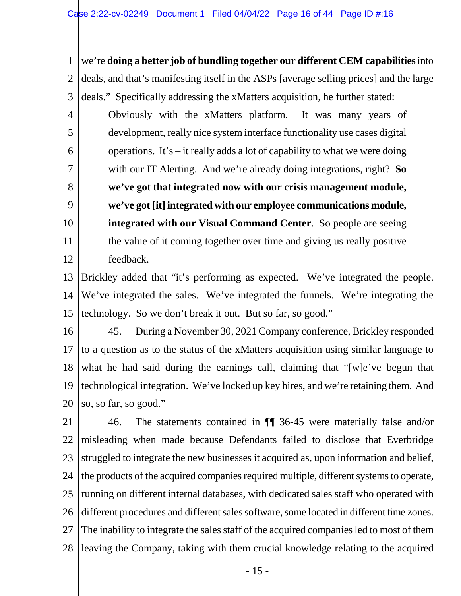1 2 3 4 5 6 7 8 9 10 11 12 we're **doing a better job of bundling together our different CEM capabilities**into deals, and that's manifesting itself in the ASPs [average selling prices] and the large deals." Specifically addressing the xMatters acquisition, he further stated: Obviously with the xMatters platform. It was many years of development, really nice system interface functionality use cases digital operations. It's – it really adds a lot of capability to what we were doing with our IT Alerting. And we're already doing integrations, right? **So we've got that integrated now with our crisis management module, we've got [it] integrated with our employee communications module, integrated with our Visual Command Center**. So people are seeing the value of it coming together over time and giving us really positive feedback.

13 14 15 Brickley added that "it's performing as expected. We've integrated the people. We've integrated the sales. We've integrated the funnels. We're integrating the technology. So we don't break it out. But so far, so good."

16 17 18 19 20 45. During a November 30, 2021 Company conference, Brickley responded to a question as to the status of the xMatters acquisition using similar language to what he had said during the earnings call, claiming that "[w]e've begun that technological integration. We've locked up key hires, and we're retaining them. And so, so far, so good."

21 22 23 24 25 26 27 28 46. The statements contained in ¶¶ 36-45 were materially false and/or misleading when made because Defendants failed to disclose that Everbridge struggled to integrate the new businesses it acquired as, upon information and belief, the products of the acquired companies required multiple, different systems to operate, running on different internal databases, with dedicated sales staff who operated with different procedures and different sales software, some located in different time zones. The inability to integrate the sales staff of the acquired companies led to most of them leaving the Company, taking with them crucial knowledge relating to the acquired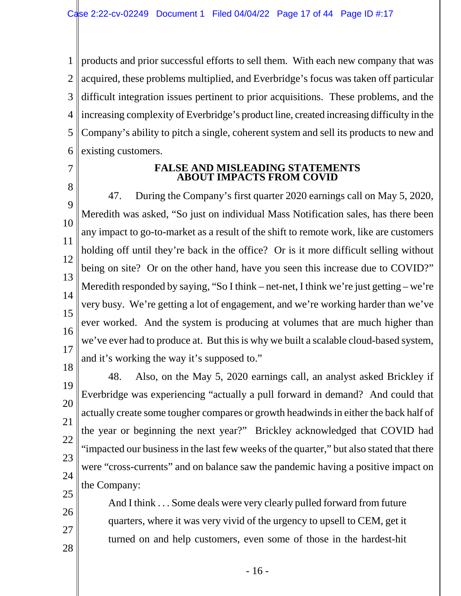1  $\mathcal{L}$ 3 4 5 6 products and prior successful efforts to sell them. With each new company that was acquired, these problems multiplied, and Everbridge's focus was taken off particular difficult integration issues pertinent to prior acquisitions. These problems, and the increasing complexity of Everbridge's product line, created increasing difficulty in the Company's ability to pitch a single, coherent system and sell its products to new and existing customers.

7

26

27

28

#### **FALSE AND MISLEADING STATEMENTS ABOUT IMPACTS FROM COVID**

8 9 10 11 12 13 14 15 16 17 18 47. During the Company's first quarter 2020 earnings call on May 5, 2020, Meredith was asked, "So just on individual Mass Notification sales, has there been any impact to go-to-market as a result of the shift to remote work, like are customers holding off until they're back in the office? Or is it more difficult selling without being on site? Or on the other hand, have you seen this increase due to COVID?" Meredith responded by saying, "So I think – net-net, I think we're just getting – we're very busy. We're getting a lot of engagement, and we're working harder than we've ever worked. And the system is producing at volumes that are much higher than we've ever had to produce at. But this is why we built a scalable cloud-based system, and it's working the way it's supposed to."

19 20 21 22 23 24 25 48. Also, on the May 5, 2020 earnings call, an analyst asked Brickley if Everbridge was experiencing "actually a pull forward in demand? And could that actually create some tougher compares or growth headwinds in either the back half of the year or beginning the next year?" Brickley acknowledged that COVID had "impacted our business in the last few weeks of the quarter," but also stated that there were "cross-currents" and on balance saw the pandemic having a positive impact on the Company:

And I think . . . Some deals were very clearly pulled forward from future quarters, where it was very vivid of the urgency to upsell to CEM, get it turned on and help customers, even some of those in the hardest-hit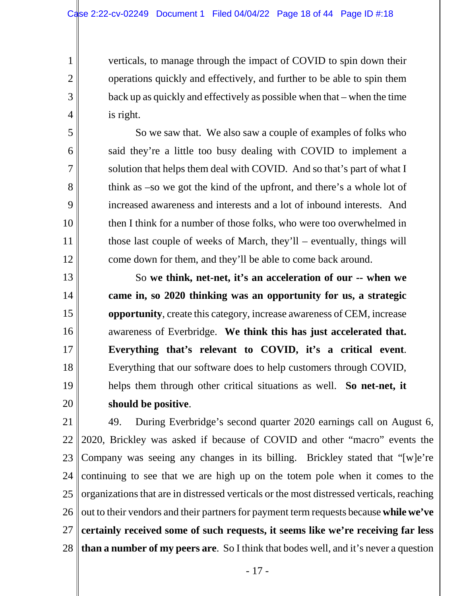1

2

3

4

5

6

7

8

9

10

11

12

13

14

15

16

17

18

19

20

verticals, to manage through the impact of COVID to spin down their operations quickly and effectively, and further to be able to spin them back up as quickly and effectively as possible when that – when the time is right.

So we saw that. We also saw a couple of examples of folks who said they're a little too busy dealing with COVID to implement a solution that helps them deal with COVID. And so that's part of what I think as –so we got the kind of the upfront, and there's a whole lot of increased awareness and interests and a lot of inbound interests. And then I think for a number of those folks, who were too overwhelmed in those last couple of weeks of March, they'll – eventually, things will come down for them, and they'll be able to come back around.

So **we think, net-net, it's an acceleration of our -- when we came in, so 2020 thinking was an opportunity for us, a strategic opportunity**, create this category, increase awareness of CEM, increase awareness of Everbridge. **We think this has just accelerated that. Everything that's relevant to COVID, it's a critical event**. Everything that our software does to help customers through COVID, helps them through other critical situations as well. **So net-net, it should be positive**.

21 22 23 24 25 26 27 28 49. During Everbridge's second quarter 2020 earnings call on August 6, 2020, Brickley was asked if because of COVID and other "macro" events the Company was seeing any changes in its billing. Brickley stated that "[w]e're continuing to see that we are high up on the totem pole when it comes to the organizations that are in distressed verticals or the most distressed verticals, reaching out to their vendors and their partners for payment term requests because **while we've certainly received some of such requests, it seems like we're receiving far less than a number of my peers are**. So I think that bodes well, and it's never a question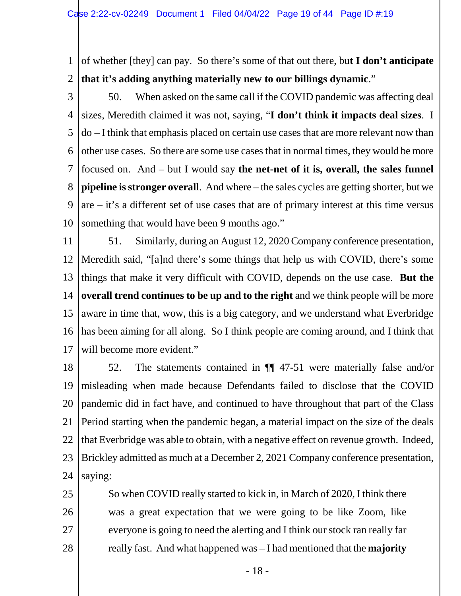1 2 of whether [they] can pay. So there's some of that out there, bu**t I don't anticipate that it's adding anything materially new to our billings dynamic**."

3 4 5 6 7 8 9 10 50. When asked on the same call if the COVID pandemic was affecting deal sizes, Meredith claimed it was not, saying, "**I don't think it impacts deal sizes**. I do – I think that emphasis placed on certain use cases that are more relevant now than other use cases. So there are some use cases that in normal times, they would be more focused on. And – but I would say **the net-net of it is, overall, the sales funnel pipeline is stronger overall**. And where – the sales cycles are getting shorter, but we  $\arctan x$  are – it's a different set of use cases that are of primary interest at this time versus something that would have been 9 months ago."

11 12 13 14 15 16 17 51. Similarly, during an August 12, 2020 Company conference presentation, Meredith said, "[a]nd there's some things that help us with COVID, there's some things that make it very difficult with COVID, depends on the use case. **But the overall trend continues to be up and to the right** and we think people will be more aware in time that, wow, this is a big category, and we understand what Everbridge has been aiming for all along. So I think people are coming around, and I think that will become more evident."

18 19 20 21 22 23 24 52. The statements contained in ¶¶ 47-51 were materially false and/or misleading when made because Defendants failed to disclose that the COVID pandemic did in fact have, and continued to have throughout that part of the Class Period starting when the pandemic began, a material impact on the size of the deals that Everbridge was able to obtain, with a negative effect on revenue growth. Indeed, Brickley admitted as much at a December 2, 2021 Company conference presentation, saying:

So when COVID really started to kick in, in March of 2020, I think there was a great expectation that we were going to be like Zoom, like everyone is going to need the alerting and I think our stock ran really far really fast. And what happened was – I had mentioned that the **majority** 

25

26

27

28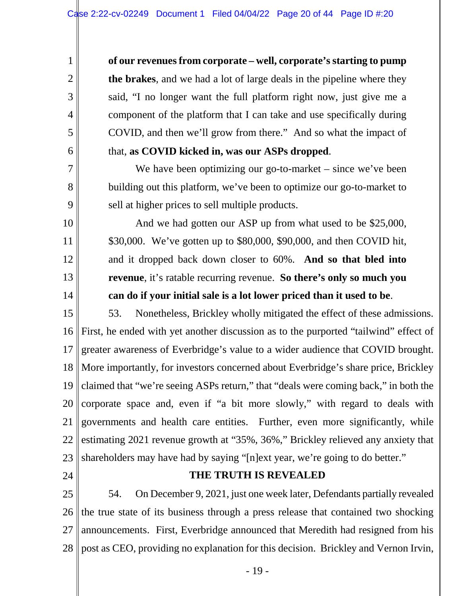**of our revenues from corporate – well, corporate's starting to pump the brakes**, and we had a lot of large deals in the pipeline where they said, "I no longer want the full platform right now, just give me a component of the platform that I can take and use specifically during COVID, and then we'll grow from there." And so what the impact of that, **as COVID kicked in, was our ASPs dropped**.

We have been optimizing our go-to-market – since we've been building out this platform, we've been to optimize our go-to-market to sell at higher prices to sell multiple products.

And we had gotten our ASP up from what used to be \$25,000, \$30,000. We've gotten up to \$80,000, \$90,000, and then COVID hit, and it dropped back down closer to 60%. **And so that bled into revenue**, it's ratable recurring revenue. **So there's only so much you can do if your initial sale is a lot lower priced than it used to be**.

15 16 17 18 19 20 21 22 23 53. Nonetheless, Brickley wholly mitigated the effect of these admissions. First, he ended with yet another discussion as to the purported "tailwind" effect of greater awareness of Everbridge's value to a wider audience that COVID brought. More importantly, for investors concerned about Everbridge's share price, Brickley claimed that "we're seeing ASPs return," that "deals were coming back," in both the corporate space and, even if "a bit more slowly," with regard to deals with governments and health care entities. Further, even more significantly, while estimating 2021 revenue growth at "35%, 36%," Brickley relieved any anxiety that shareholders may have had by saying "[n]ext year, we're going to do better."

24

1

2

3

4

5

6

7

8

9

10

11

12

13

14

# **THE TRUTH IS REVEALED**

25 26 27 28 54. On December 9, 2021, just one week later, Defendants partially revealed the true state of its business through a press release that contained two shocking announcements. First, Everbridge announced that Meredith had resigned from his post as CEO, providing no explanation for this decision. Brickley and Vernon Irvin,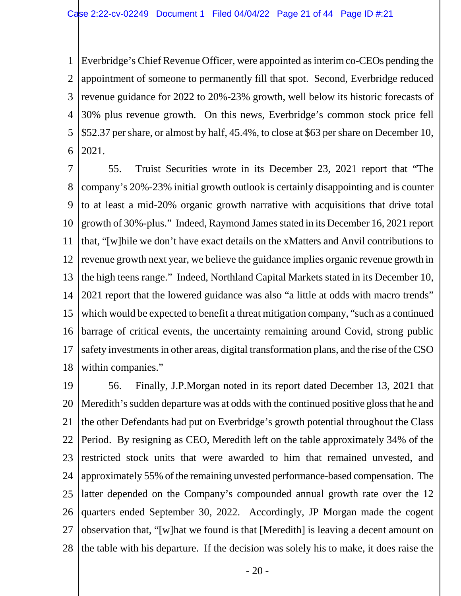1  $\mathcal{L}$ 3 4 5 6 Everbridge's Chief Revenue Officer, were appointed as interim co-CEOs pending the appointment of someone to permanently fill that spot. Second, Everbridge reduced revenue guidance for 2022 to 20%-23% growth, well below its historic forecasts of 30% plus revenue growth. On this news, Everbridge's common stock price fell \$52.37 per share, or almost by half, 45.4%, to close at \$63 per share on December 10, 2021.

7 8  $\mathbf Q$ 10 11 12 13 14 15 16 17 18 55. Truist Securities wrote in its December 23, 2021 report that "The company's 20%-23% initial growth outlook is certainly disappointing and is counter to at least a mid-20% organic growth narrative with acquisitions that drive total growth of 30%-plus." Indeed, Raymond James stated in its December 16, 2021 report that, "[w]hile we don't have exact details on the xMatters and Anvil contributions to revenue growth next year, we believe the guidance implies organic revenue growth in the high teens range." Indeed, Northland Capital Markets stated in its December 10, 2021 report that the lowered guidance was also "a little at odds with macro trends" which would be expected to benefit a threat mitigation company, "such as a continued barrage of critical events, the uncertainty remaining around Covid, strong public safety investments in other areas, digital transformation plans, and the rise of the CSO within companies."

19 20 21 22 23 24 25 26 27 28 56. Finally, J.P.Morgan noted in its report dated December 13, 2021 that Meredith's sudden departure was at odds with the continued positive gloss that he and the other Defendants had put on Everbridge's growth potential throughout the Class Period. By resigning as CEO, Meredith left on the table approximately 34% of the restricted stock units that were awarded to him that remained unvested, and approximately 55% of the remaining unvested performance-based compensation. The latter depended on the Company's compounded annual growth rate over the 12 quarters ended September 30, 2022. Accordingly, JP Morgan made the cogent observation that, "[w]hat we found is that [Meredith] is leaving a decent amount on the table with his departure. If the decision was solely his to make, it does raise the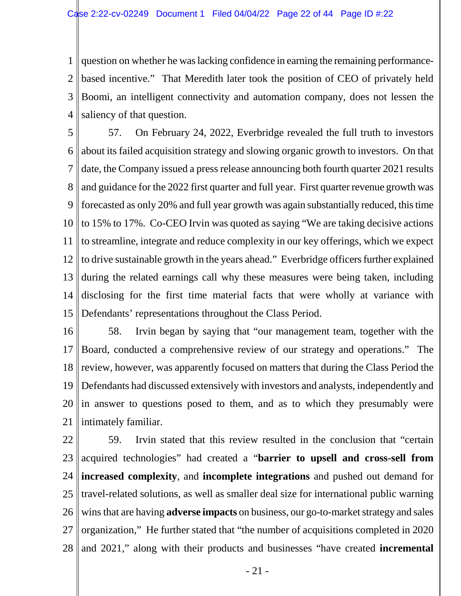1  $\mathcal{L}$ 3 4 question on whether he was lacking confidence in earning the remaining performancebased incentive." That Meredith later took the position of CEO of privately held Boomi, an intelligent connectivity and automation company, does not lessen the saliency of that question.

5 6 7 8 || and guidance for the 2022 first quarter and full year. First quarter revenue growth was 9 10 11 12 13 14 15 57. On February 24, 2022, Everbridge revealed the full truth to investors about its failed acquisition strategy and slowing organic growth to investors. On that date, the Company issued a press release announcing both fourth quarter 2021 results forecasted as only 20% and full year growth was again substantially reduced, this time to 15% to 17%. Co-CEO Irvin was quoted as saying "We are taking decisive actions to streamline, integrate and reduce complexity in our key offerings, which we expect to drive sustainable growth in the years ahead." Everbridge officers further explained during the related earnings call why these measures were being taken, including disclosing for the first time material facts that were wholly at variance with Defendants' representations throughout the Class Period.

16 17 18 19 20 21 58. Irvin began by saying that "our management team, together with the Board, conducted a comprehensive review of our strategy and operations." The review, however, was apparently focused on matters that during the Class Period the Defendants had discussed extensively with investors and analysts, independently and in answer to questions posed to them, and as to which they presumably were intimately familiar.

22 23 24 25 26 27 28 59. Irvin stated that this review resulted in the conclusion that "certain acquired technologies" had created a "**barrier to upsell and cross-sell from increased complexity**, and **incomplete integrations** and pushed out demand for travel-related solutions, as well as smaller deal size for international public warning wins that are having **adverse impacts** on business, our go-to-market strategy and sales organization," He further stated that "the number of acquisitions completed in 2020 and 2021," along with their products and businesses "have created **incremental**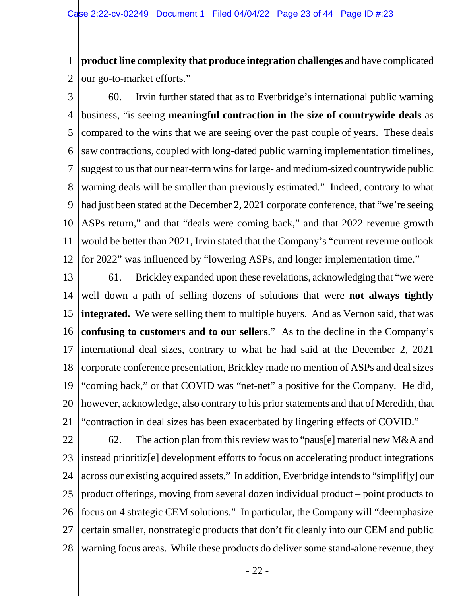1 2 **product line complexity that produce integration challenges** and have complicated our go-to-market efforts."

3 4 5 6 7 8 9 10 11 12 60. Irvin further stated that as to Everbridge's international public warning business, "is seeing **meaningful contraction in the size of countrywide deals** as compared to the wins that we are seeing over the past couple of years. These deals saw contractions, coupled with long-dated public warning implementation timelines, suggest to us that our near-term wins for large- and medium-sized countrywide public warning deals will be smaller than previously estimated." Indeed, contrary to what had just been stated at the December 2, 2021 corporate conference, that "we're seeing ASPs return," and that "deals were coming back," and that 2022 revenue growth would be better than 2021, Irvin stated that the Company's "current revenue outlook for 2022" was influenced by "lowering ASPs, and longer implementation time."

- 13 14 15 16 17 18 19 20 21 61. Brickley expanded upon these revelations, acknowledging that "we were well down a path of selling dozens of solutions that were **not always tightly integrated.** We were selling them to multiple buyers. And as Vernon said, that was **confusing to customers and to our sellers**." As to the decline in the Company's international deal sizes, contrary to what he had said at the December 2, 2021 corporate conference presentation, Brickley made no mention of ASPs and deal sizes "coming back," or that COVID was "net-net" a positive for the Company. He did, however, acknowledge, also contrary to his prior statements and that of Meredith, that "contraction in deal sizes has been exacerbated by lingering effects of COVID."
- 22 23 24 25 26 27 28 62. The action plan from this review was to "paus[e] material new M&A and instead prioritiz[e] development efforts to focus on accelerating product integrations across our existing acquired assets." In addition, Everbridge intends to "simplif[y] our product offerings, moving from several dozen individual product – point products to focus on 4 strategic CEM solutions." In particular, the Company will "deemphasize certain smaller, nonstrategic products that don't fit cleanly into our CEM and public warning focus areas. While these products do deliver some stand-alone revenue, they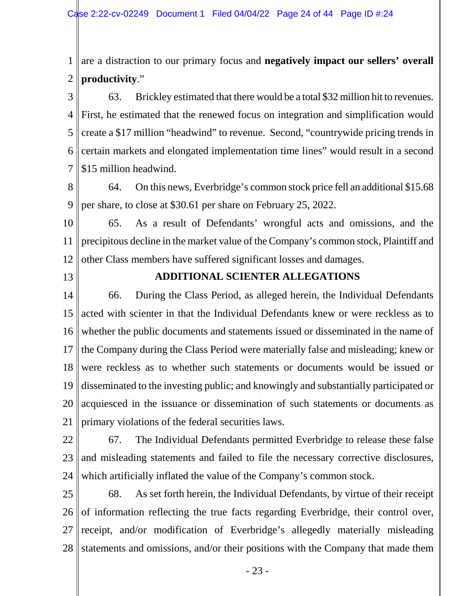1 2 are a distraction to our primary focus and **negatively impact our sellers' overall productivity**."

3 4 5 6 7 63. Brickley estimated that there would be a total \$32 million hit to revenues. First, he estimated that the renewed focus on integration and simplification would create a \$17 million "headwind" to revenue. Second, "countrywide pricing trends in certain markets and elongated implementation time lines" would result in a second \$15 million headwind.

8 9 64. On this news, Everbridge's common stock price fell an additional \$15.68 per share, to close at \$30.61 per share on February 25, 2022.

10 11 12 65. As a result of Defendants' wrongful acts and omissions, and the precipitous decline in the market value of the Company's common stock, Plaintiff and other Class members have suffered significant losses and damages.

13

# **ADDITIONAL SCIENTER ALLEGATIONS**

14 15 16 17 18 19 20 21 66. During the Class Period, as alleged herein, the Individual Defendants acted with scienter in that the Individual Defendants knew or were reckless as to whether the public documents and statements issued or disseminated in the name of the Company during the Class Period were materially false and misleading; knew or were reckless as to whether such statements or documents would be issued or disseminated to the investing public; and knowingly and substantially participated or acquiesced in the issuance or dissemination of such statements or documents as primary violations of the federal securities laws.

- 22 23 24 67. The Individual Defendants permitted Everbridge to release these false and misleading statements and failed to file the necessary corrective disclosures, which artificially inflated the value of the Company's common stock.
	- 25 26 27 28 68. As set forth herein, the Individual Defendants, by virtue of their receipt of information reflecting the true facts regarding Everbridge, their control over, receipt, and/or modification of Everbridge's allegedly materially misleading statements and omissions, and/or their positions with the Company that made them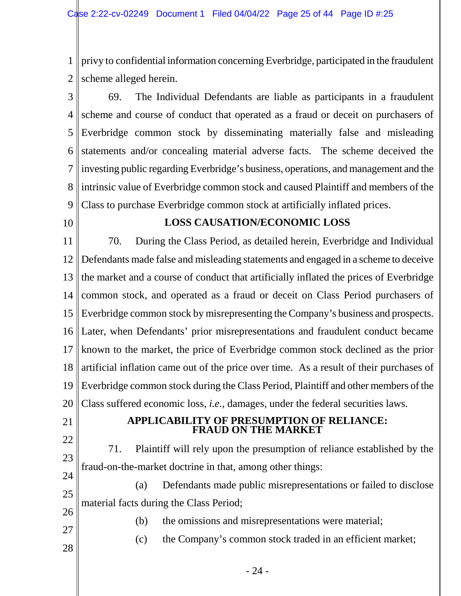1 2 privy to confidential information concerning Everbridge, participated in the fraudulent scheme alleged herein.

3 4 5 6 7 8 9 69. The Individual Defendants are liable as participants in a fraudulent scheme and course of conduct that operated as a fraud or deceit on purchasers of Everbridge common stock by disseminating materially false and misleading statements and/or concealing material adverse facts. The scheme deceived the investing public regarding Everbridge's business, operations, and management and the intrinsic value of Everbridge common stock and caused Plaintiff and members of the Class to purchase Everbridge common stock at artificially inflated prices.

10

# **LOSS CAUSATION/ECONOMIC LOSS**

11 12 13 14 15 16 17 18 19 20 70. During the Class Period, as detailed herein, Everbridge and Individual Defendants made false and misleading statements and engaged in a scheme to deceive the market and a course of conduct that artificially inflated the prices of Everbridge common stock, and operated as a fraud or deceit on Class Period purchasers of Everbridge common stock by misrepresenting the Company's business and prospects. Later, when Defendants' prior misrepresentations and fraudulent conduct became known to the market, the price of Everbridge common stock declined as the prior artificial inflation came out of the price over time. As a result of their purchases of Everbridge common stock during the Class Period, Plaintiff and other members of the Class suffered economic loss, *i.e.*, damages, under the federal securities laws.

21

22

### **APPLICABILITY OF PRESUMPTION OF RELIANCE: FRAUD ON THE MARKET**

23 24 71. Plaintiff will rely upon the presumption of reliance established by the fraud-on-the-market doctrine in that, among other things:

25 26 (a) Defendants made public misrepresentations or failed to disclose material facts during the Class Period;

27

28

(b) the omissions and misrepresentations were material;

(c) the Company's common stock traded in an efficient market;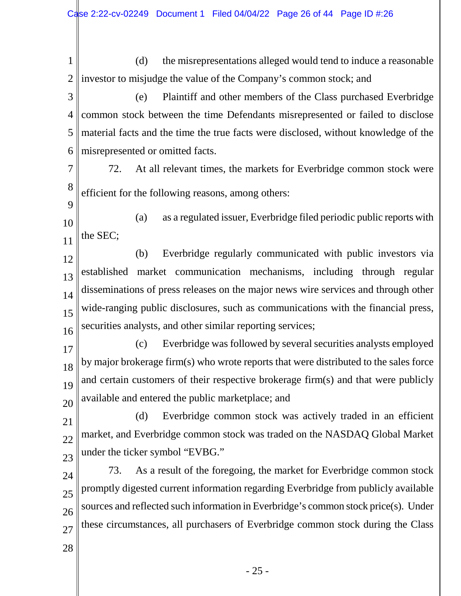1 2 (d) the misrepresentations alleged would tend to induce a reasonable investor to misjudge the value of the Company's common stock; and

3 4 5 6 (e) Plaintiff and other members of the Class purchased Everbridge common stock between the time Defendants misrepresented or failed to disclose material facts and the time the true facts were disclosed, without knowledge of the misrepresented or omitted facts.

- 7 8 72. At all relevant times, the markets for Everbridge common stock were efficient for the following reasons, among others:
- 10 11 (a) as a regulated issuer, Everbridge filed periodic public reports with the SEC;

12 13 14 15 16 (b) Everbridge regularly communicated with public investors via established market communication mechanisms, including through regular disseminations of press releases on the major news wire services and through other wide-ranging public disclosures, such as communications with the financial press, securities analysts, and other similar reporting services;

- 17 18 19  $2<sub>0</sub>$ (c) Everbridge was followed by several securities analysts employed by major brokerage firm(s) who wrote reports that were distributed to the sales force and certain customers of their respective brokerage firm(s) and that were publicly available and entered the public marketplace; and
- 21  $22$ 23 (d) Everbridge common stock was actively traded in an efficient market, and Everbridge common stock was traded on the NASDAQ Global Market under the ticker symbol "EVBG."
- 24 25 26 27 73. As a result of the foregoing, the market for Everbridge common stock promptly digested current information regarding Everbridge from publicly available sources and reflected such information in Everbridge's common stock price(s). Under these circumstances, all purchasers of Everbridge common stock during the Class
- 28

9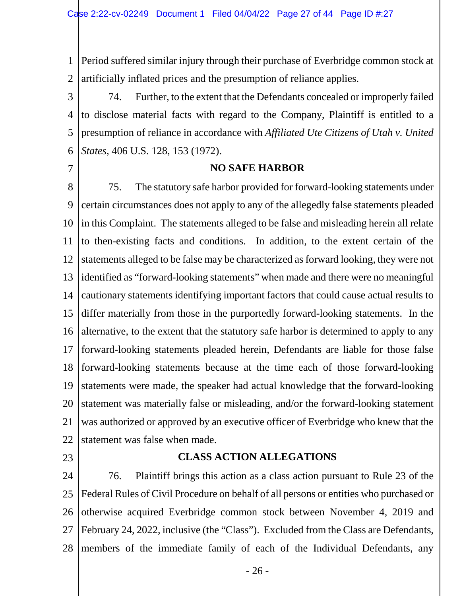1 2 Period suffered similar injury through their purchase of Everbridge common stock at artificially inflated prices and the presumption of reliance applies.

3 4 5 6 74. Further, to the extent that the Defendants concealed or improperly failed to disclose material facts with regard to the Company, Plaintiff is entitled to a presumption of reliance in accordance with *Affiliated Ute Citizens of Utah v. United States*, 406 U.S. 128, 153 (1972).

7

#### **NO SAFE HARBOR**

8 9 10 11 12 13 14 15 16 17 18 19 20 21 22 75. The statutory safe harbor provided for forward-looking statements under certain circumstances does not apply to any of the allegedly false statements pleaded in this Complaint. The statements alleged to be false and misleading herein all relate to then-existing facts and conditions. In addition, to the extent certain of the statements alleged to be false may be characterized as forward looking, they were not identified as "forward-looking statements" when made and there were no meaningful cautionary statements identifying important factors that could cause actual results to differ materially from those in the purportedly forward-looking statements. In the alternative, to the extent that the statutory safe harbor is determined to apply to any forward-looking statements pleaded herein, Defendants are liable for those false forward-looking statements because at the time each of those forward-looking statements were made, the speaker had actual knowledge that the forward-looking statement was materially false or misleading, and/or the forward-looking statement was authorized or approved by an executive officer of Everbridge who knew that the statement was false when made.

23

#### **CLASS ACTION ALLEGATIONS**

24 25 26 27 28 76. Plaintiff brings this action as a class action pursuant to Rule 23 of the Federal Rules of Civil Procedure on behalf of all persons or entities who purchased or otherwise acquired Everbridge common stock between November 4, 2019 and February 24, 2022, inclusive (the "Class"). Excluded from the Class are Defendants, members of the immediate family of each of the Individual Defendants, any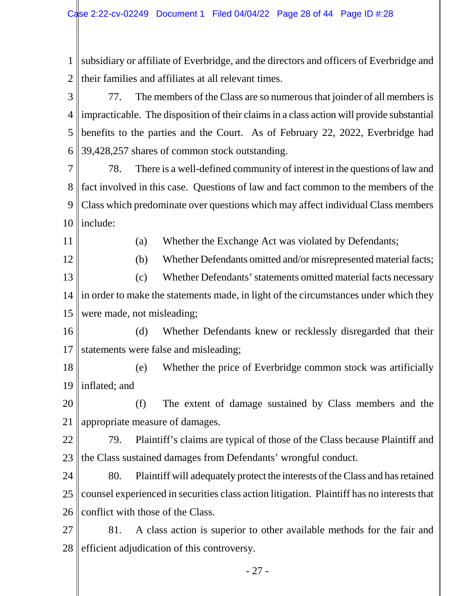1 2 3 4 5 6 7 8 fact involved in this case. Questions of law and fact common to the members of the 9 10 11 12 13 14 15 16 17 18 19 20 subsidiary or affiliate of Everbridge, and the directors and officers of Everbridge and their families and affiliates at all relevant times. 77. The members of the Class are so numerous that joinder of all members is impracticable. The disposition of their claims in a class action will provide substantial benefits to the parties and the Court. As of February 22, 2022, Everbridge had 39,428,257 shares of common stock outstanding. 78. There is a well-defined community of interest in the questions of law and Class which predominate over questions which may affect individual Class members include: (a) Whether the Exchange Act was violated by Defendants; (b) Whether Defendants omitted and/or misrepresented material facts; (c) Whether Defendants' statements omitted material facts necessary in order to make the statements made, in light of the circumstances under which they were made, not misleading; (d) Whether Defendants knew or recklessly disregarded that their statements were false and misleading; (e) Whether the price of Everbridge common stock was artificially inflated; and (f) The extent of damage sustained by Class members and the

21 22 23 appropriate measure of damages. 79. Plaintiff's claims are typical of those of the Class because Plaintiff and the Class sustained damages from Defendants' wrongful conduct.

24 25 26 80. Plaintiff will adequately protect the interests of the Class and has retained counsel experienced in securities class action litigation. Plaintiff has no interests that conflict with those of the Class.

27 28 81. A class action is superior to other available methods for the fair and efficient adjudication of this controversy.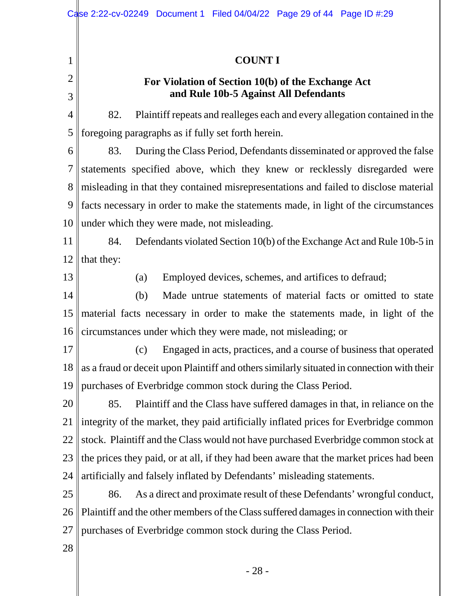1 2 3 4 5 6 7 8 9 10 11 12 13 14 15 16 17 18 19 20 21 22 23 24 25 26 27 28 **COUNT I For Violation of Section 10(b) of the Exchange Act and Rule 10b-5 Against All Defendants** 82. Plaintiff repeats and realleges each and every allegation contained in the foregoing paragraphs as if fully set forth herein. 83. During the Class Period, Defendants disseminated or approved the false statements specified above, which they knew or recklessly disregarded were misleading in that they contained misrepresentations and failed to disclose material facts necessary in order to make the statements made, in light of the circumstances under which they were made, not misleading. 84. Defendants violated Section 10(b) of the Exchange Act and Rule 10b-5 in that they: (a) Employed devices, schemes, and artifices to defraud; (b) Made untrue statements of material facts or omitted to state material facts necessary in order to make the statements made, in light of the circumstances under which they were made, not misleading; or (c) Engaged in acts, practices, and a course of business that operated as a fraud or deceit upon Plaintiff and others similarly situated in connection with their purchases of Everbridge common stock during the Class Period. 85. Plaintiff and the Class have suffered damages in that, in reliance on the integrity of the market, they paid artificially inflated prices for Everbridge common stock. Plaintiff and the Class would not have purchased Everbridge common stock at the prices they paid, or at all, if they had been aware that the market prices had been artificially and falsely inflated by Defendants' misleading statements. 86. As a direct and proximate result of these Defendants' wrongful conduct, Plaintiff and the other members of the Class suffered damages in connection with their purchases of Everbridge common stock during the Class Period.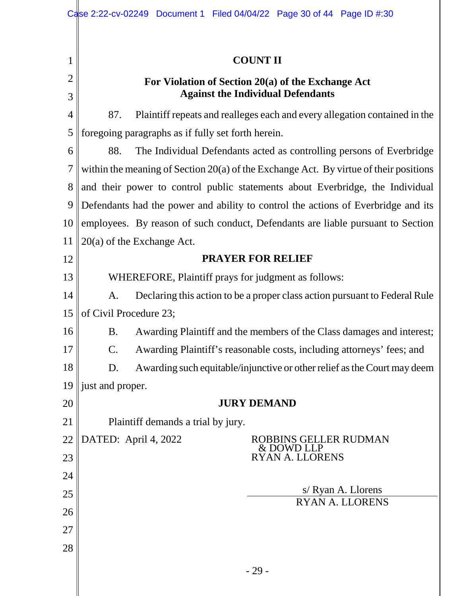| 1              |                                                                                  | <b>COUNT II</b>                                                                         |  |  |  |  |
|----------------|----------------------------------------------------------------------------------|-----------------------------------------------------------------------------------------|--|--|--|--|
| $\overline{2}$ |                                                                                  | For Violation of Section 20(a) of the Exchange Act                                      |  |  |  |  |
| 3              |                                                                                  | <b>Against the Individual Defendants</b>                                                |  |  |  |  |
| $\overline{4}$ | 87.                                                                              | Plaintiff repeats and realleges each and every allegation contained in the              |  |  |  |  |
| 5              |                                                                                  | foregoing paragraphs as if fully set forth herein.                                      |  |  |  |  |
| 6              | 88.                                                                              | The Individual Defendants acted as controlling persons of Everbridge                    |  |  |  |  |
| 7              |                                                                                  | within the meaning of Section $20(a)$ of the Exchange Act. By virtue of their positions |  |  |  |  |
| 8              |                                                                                  | and their power to control public statements about Everbridge, the Individual           |  |  |  |  |
| 9              |                                                                                  | Defendants had the power and ability to control the actions of Everbridge and its       |  |  |  |  |
| 10             | employees. By reason of such conduct, Defendants are liable pursuant to Section  |                                                                                         |  |  |  |  |
| 11             |                                                                                  | $20(a)$ of the Exchange Act.                                                            |  |  |  |  |
| 12             | <b>PRAYER FOR RELIEF</b>                                                         |                                                                                         |  |  |  |  |
| 13             | WHEREFORE, Plaintiff prays for judgment as follows:                              |                                                                                         |  |  |  |  |
| 14             | Declaring this action to be a proper class action pursuant to Federal Rule<br>A. |                                                                                         |  |  |  |  |
| 15             | of Civil Procedure 23;                                                           |                                                                                         |  |  |  |  |
| 16             | <b>B.</b>                                                                        | Awarding Plaintiff and the members of the Class damages and interest;                   |  |  |  |  |
| 17             | C.                                                                               | Awarding Plaintiff's reasonable costs, including attorneys' fees; and                   |  |  |  |  |
| 18             | D.                                                                               | Awarding such equitable/injunctive or other relief as the Court may deem                |  |  |  |  |
| 19             | just and proper.                                                                 |                                                                                         |  |  |  |  |
| 20             |                                                                                  | <b>JURY DEMAND</b>                                                                      |  |  |  |  |
| 21             |                                                                                  | Plaintiff demands a trial by jury.                                                      |  |  |  |  |
| 22             | DATED: April 4, 2022                                                             | <b>ROBBINS GELLER RUDMAN</b><br>& DOWD LLP                                              |  |  |  |  |
| 23             |                                                                                  | <b>RYAN A. LLORENS</b>                                                                  |  |  |  |  |
| 24             |                                                                                  |                                                                                         |  |  |  |  |
| 25             |                                                                                  | s/ Ryan A. Llorens<br><b>RYAN A. LLORENS</b>                                            |  |  |  |  |
| 26             |                                                                                  |                                                                                         |  |  |  |  |
| 27             |                                                                                  |                                                                                         |  |  |  |  |
| 28             |                                                                                  |                                                                                         |  |  |  |  |
|                |                                                                                  | $-29-$                                                                                  |  |  |  |  |

║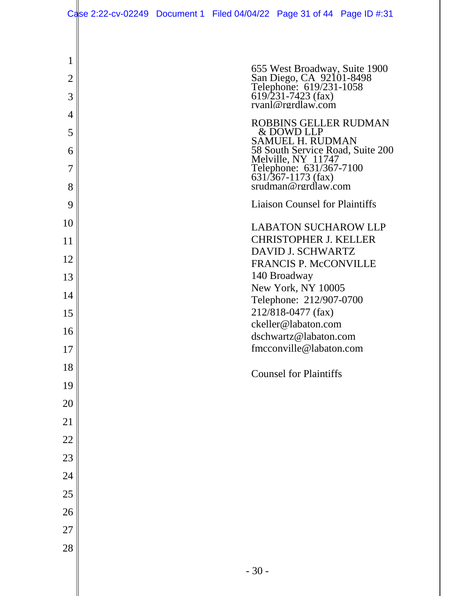| 1              |                                                                                                                                 |
|----------------|---------------------------------------------------------------------------------------------------------------------------------|
| $\overline{2}$ | 655 West Broadway, Suite 1900<br>San Diego, CA 92101-8498<br>Telephone: 619/231-1058<br>619/231-7423 (fax)<br>rvanl@rerdlaw.com |
| 3              |                                                                                                                                 |
| 4              | ROBBINS GELLER RUDMAN                                                                                                           |
| 5<br>6         | & DOWD LLP<br><b>SAMUEL H. RUDMAN</b><br>58 South Service Road, Suite 200                                                       |
| 7              | Melville, NY 11747<br>Telephone: 631/367-7100<br>631/367-1173 (fax)<br>srudman@rgrdlaw.com                                      |
| 8              |                                                                                                                                 |
| 9              | <b>Liaison Counsel for Plaintiffs</b>                                                                                           |
| 10             | <b>LABATON SUCHAROW LLP</b>                                                                                                     |
| 11             | <b>CHRISTOPHER J. KELLER</b><br><b>DAVID J. SCHWARTZ</b>                                                                        |
| 12             | <b>FRANCIS P. McCONVILLE</b>                                                                                                    |
| 13             | 140 Broadway<br>New York, NY 10005                                                                                              |
| 14             | Telephone: 212/907-0700                                                                                                         |
| 15             | 212/818-0477 (fax)<br>ckeller@labaton.com                                                                                       |
| 16             | dschwartz@labaton.com                                                                                                           |
| 17             | fmcconville@labaton.com                                                                                                         |
| 18             | <b>Counsel for Plaintiffs</b>                                                                                                   |
| 19             |                                                                                                                                 |
| 20             |                                                                                                                                 |
| 21             |                                                                                                                                 |
| 22             |                                                                                                                                 |
| 23             |                                                                                                                                 |
| 24             |                                                                                                                                 |
| 25             |                                                                                                                                 |
| 26             |                                                                                                                                 |
| 27<br>28       |                                                                                                                                 |
|                |                                                                                                                                 |
|                | $-30-$                                                                                                                          |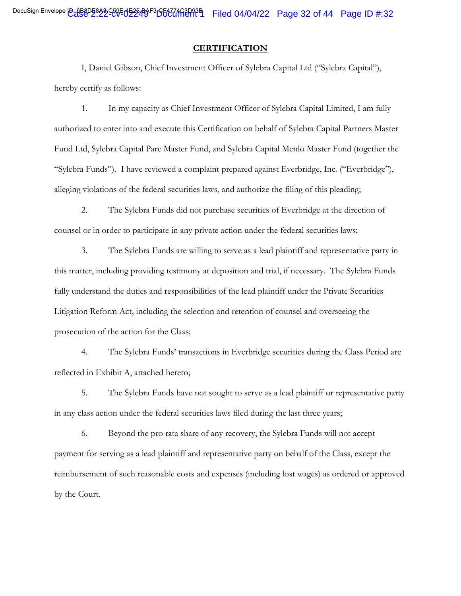#### **CERTIFICATION**

I, Daniel Gibson, Chief Investment Officer of Sylebra Capital Ltd ("Sylebra Capital"), hereby certify as follows:

1. In my capacity as Chief Investment Officer of Sylebra Capital Limited, I am fully authorized to enter into and execute this Certification on behalf of Sylebra Capital Partners Master Fund Ltd, Sylebra Capital Parc Master Fund, and Sylebra Capital Menlo Master Fund (together the "Sylebra Funds"). I have reviewed a complaint prepared against Everbridge, Inc. ("Everbridge"), alleging violations of the federal securities laws, and authorize the filing of this pleading;

2. The Sylebra Funds did not purchase securities of Everbridge at the direction of counsel or in order to participate in any private action under the federal securities laws;

3. The Sylebra Funds are willing to serve as a lead plaintiff and representative party in this matter, including providing testimony at deposition and trial, if necessary. The Sylebra Funds fully understand the duties and responsibilities of the lead plaintiff under the Private Securities Litigation Reform Act, including the selection and retention of counsel and overseeing the prosecution of the action for the Class;

4. The Sylebra Funds' transactions in Everbridge securities during the Class Period are reflected in Exhibit A, attached hereto;

5. The Sylebra Funds have not sought to serve as a lead plaintiff or representative party in any class action under the federal securities laws filed during the last three years;

6. Beyond the pro rata share of any recovery, the Sylebra Funds will not accept payment for serving as a lead plaintiff and representative party on behalf of the Class, except the reimbursement of such reasonable costs and expenses (including lost wages) as ordered or approved by the Court.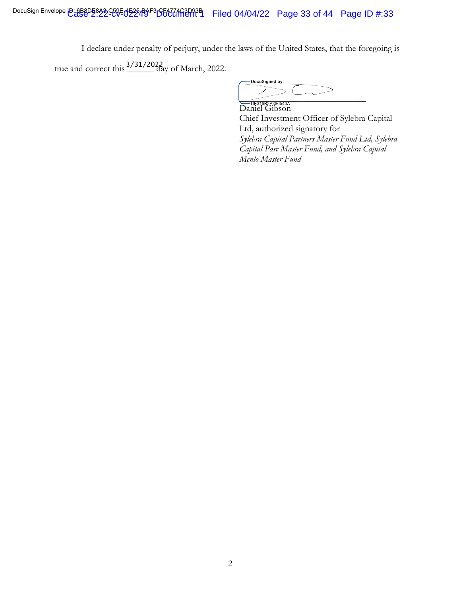I declare under penalty of perjury, under the laws of the United States, that the foregoing is

true and correct this  $\frac{3/31/2022}{\text{day of March, 2022}}$ .

DocuSigned by:  $\frac{1}{\sqrt{1-\frac{1}{2}}\sqrt{1-\frac{1}{2}}\sqrt{1-\frac{1}{2}}\sqrt{1-\frac{1}{2}}\sqrt{1-\frac{1}{2}}\sqrt{1-\frac{1}{2}}\sqrt{1-\frac{1}{2}}\sqrt{1-\frac{1}{2}}\sqrt{1-\frac{1}{2}}\sqrt{1-\frac{1}{2}}\sqrt{1-\frac{1}{2}}\sqrt{1-\frac{1}{2}}\sqrt{1-\frac{1}{2}}\sqrt{1-\frac{1}{2}}\sqrt{1-\frac{1}{2}}\sqrt{1-\frac{1}{2}}\sqrt{1-\frac{1}{2}}\sqrt{1-\frac{1}{2}}\sqrt{1-\frac{1}{2}}\sqrt{1-\frac$ 

Daniel Gibson Chief Investment Officer of Sylebra Capital Ltd, authorized signatory for *Sylebra Capital Partners Master Fund Ltd, Sylebra Capital Parc Master Fund, and Sylebra Capital Menlo Master Fund*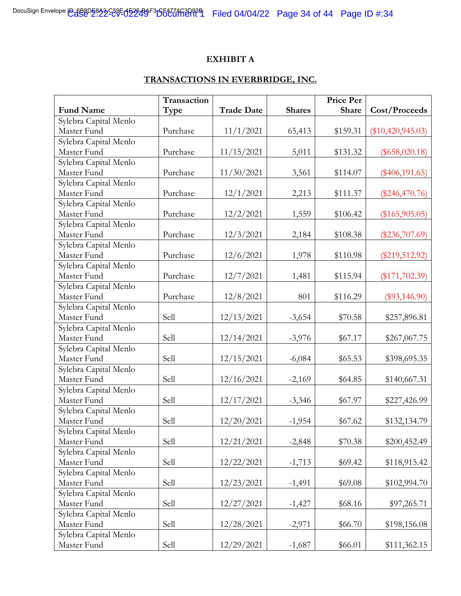#### **EXHIBIT A**

## **TRANSACTIONS IN EVERBRIDGE, INC.**

|                       | Transaction |                   |               | <b>Price Per</b> |                     |
|-----------------------|-------------|-------------------|---------------|------------------|---------------------|
| <b>Fund Name</b>      | Type        | <b>Trade Date</b> | <b>Shares</b> | Share            | Cost/Proceeds       |
| Sylebra Capital Menlo |             |                   |               |                  |                     |
| Master Fund           | Purchase    | 11/1/2021         | 65,413        | \$159.31         | $(\$10,420,945.03)$ |
| Sylebra Capital Menlo |             |                   |               |                  |                     |
| Master Fund           | Purchase    | 11/15/2021        | 5,011         | \$131.32         | $(\$658,020.18)$    |
| Sylebra Capital Menlo |             |                   |               |                  |                     |
| Master Fund           | Purchase    | 11/30/2021        | 3,561         | \$114.07         | $(\$406,191.65)$    |
| Sylebra Capital Menlo |             |                   |               |                  |                     |
| Master Fund           | Purchase    | 12/1/2021         | 2,213         | \$111.37         | $(\$246,470.76)$    |
| Sylebra Capital Menlo |             |                   |               |                  |                     |
| Master Fund           | Purchase    | 12/2/2021         | 1,559         | \$106.42         | $(\$165,905.05)$    |
| Sylebra Capital Menlo |             |                   |               |                  |                     |
| Master Fund           | Purchase    | 12/3/2021         | 2,184         | \$108.38         | $(\$236,707.69)$    |
| Sylebra Capital Menlo |             |                   |               |                  |                     |
| Master Fund           | Purchase    | 12/6/2021         | 1,978         | \$110.98         | $(\$219,512.92)$    |
| Sylebra Capital Menlo |             |                   |               |                  |                     |
| Master Fund           | Purchase    | 12/7/2021         | 1,481         | \$115.94         | $(\$171,702.39)$    |
| Sylebra Capital Menlo |             |                   |               |                  |                     |
| Master Fund           | Purchase    | 12/8/2021         | 801           | \$116.29         | $(\$93,146.90)$     |
| Sylebra Capital Menlo |             |                   |               |                  |                     |
| Master Fund           | Sell        | 12/13/2021        | $-3,654$      | \$70.58          | \$257,896.81        |
| Sylebra Capital Menlo |             |                   |               |                  |                     |
| Master Fund           | Sell        | 12/14/2021        | $-3,976$      | \$67.17          | \$267,067.75        |
| Sylebra Capital Menlo |             |                   |               |                  |                     |
| Master Fund           | Sell        | 12/15/2021        | $-6,084$      | \$65.53          | \$398,695.35        |
| Sylebra Capital Menlo |             |                   |               |                  |                     |
| Master Fund           | Sell        | 12/16/2021        | $-2,169$      | \$64.85          | \$140,667.31        |
| Sylebra Capital Menlo |             |                   |               |                  |                     |
| Master Fund           | Sell        | 12/17/2021        | $-3,346$      | \$67.97          | \$227,426.99        |
| Sylebra Capital Menlo |             |                   |               |                  |                     |
| Master Fund           | Sell        | 12/20/2021        | $-1,954$      | \$67.62          | \$132,134.79        |
| Sylebra Capital Menlo |             |                   |               |                  |                     |
| Master Fund           | Sell        | 12/21/2021        | $-2,848$      | \$70.38          | \$200,452.49        |
| Sylebra Capital Menlo |             |                   |               |                  |                     |
| Master Fund           | Sell        | 12/22/2021        | $-1,713$      | \$69.42          | \$118,915.42        |
| Sylebra Capital Menlo |             |                   |               |                  |                     |
| Master Fund           | Sell        | 12/23/2021        | $-1,491$      | \$69.08          | \$102,994.70        |
| Sylebra Capital Menlo |             |                   |               |                  |                     |
| Master Fund           | Sell        | 12/27/2021        | $-1,427$      | \$68.16          | \$97,265.71         |
| Sylebra Capital Menlo |             |                   |               |                  |                     |
| Master Fund           | Sell        | 12/28/2021        | $-2,971$      | \$66.70          | \$198,156.08        |
| Sylebra Capital Menlo |             |                   |               |                  |                     |
| Master Fund           | Sell        | 12/29/2021        | $-1,687$      | \$66.01          | \$111,362.15        |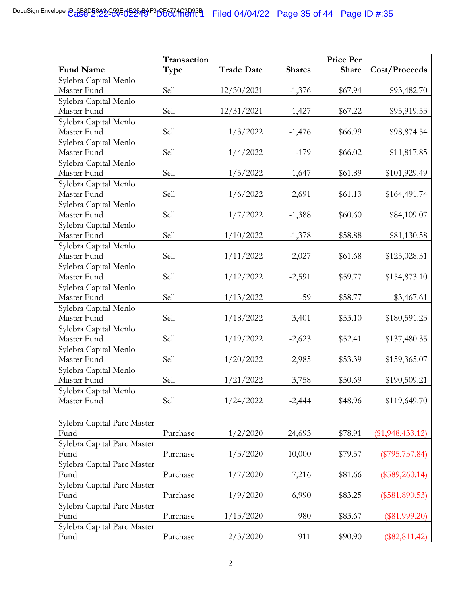| <b>Trade Date</b><br><b>Share</b><br>Cost/Proceeds<br><b>Fund Name</b><br>Type<br><b>Shares</b><br>Sylebra Capital Menlo<br>Master Fund<br>Sell<br>12/30/2021<br>$-1,376$<br>\$67.94<br>\$93,482.70<br>Sylebra Capital Menlo<br>Master Fund<br>Sell<br>12/31/2021<br>\$67.22<br>\$95,919.53<br>$-1,427$<br>Sylebra Capital Menlo<br>Master Fund<br>Sell<br>1/3/2022<br>\$66.99<br>$-1,476$<br>\$98,874.54<br>Sylebra Capital Menlo<br>Master Fund<br>1/4/2022<br>Sell<br>\$66.02<br>$-179$<br>\$11,817.85<br>Sylebra Capital Menlo<br>Master Fund<br>Sell<br>1/5/2022<br>$-1,647$<br>\$61.89<br>\$101,929.49<br>Sylebra Capital Menlo<br>Master Fund<br>Sell<br>1/6/2022<br>$-2,691$<br>\$61.13<br>\$164,491.74<br>Sylebra Capital Menlo<br>Master Fund<br>Sell<br>1/7/2022<br>$-1,388$<br>\$60.60<br>\$84,109.07<br>Sylebra Capital Menlo<br>Sell<br>Master Fund<br>1/10/2022<br>$-1,378$<br>\$81,130.58<br>\$58.88<br>Sylebra Capital Menlo<br>Master Fund<br>Sell<br>1/11/2022<br>$-2,027$<br>\$61.68<br>\$125,028.31<br>Sylebra Capital Menlo<br>Master Fund<br>Sell<br>1/12/2022<br>$-2,591$<br>\$59.77<br>\$154,873.10<br>Sylebra Capital Menlo<br>Master Fund<br>Sell<br>1/13/2022<br>$-59$<br>\$58.77<br>\$3,467.61<br>Sylebra Capital Menlo<br>Master Fund<br>Sell<br>1/18/2022<br>$-3,401$<br>\$53.10<br>\$180,591.23<br>Sylebra Capital Menlo<br>Sell<br>1/19/2022<br>Master Fund<br>\$52.41<br>\$137,480.35<br>$-2,623$<br>Sylebra Capital Menlo<br>Master Fund<br>Sell<br>1/20/2022<br>$-2,985$<br>\$53.39<br>\$159,365.07<br>Sylebra Capital Menlo<br>Sell<br>Master Fund<br>1/21/2022<br>\$50.69<br>$-3,758$<br>\$190,509.21<br>Sylebra Capital Menlo<br>Master Fund<br>Sell<br>1/24/2022<br>$-2,444$<br>\$48.96<br>\$119,649.70<br>Sylebra Capital Parc Master<br>Fund<br>Purchase<br>1/2/2020<br>24,693<br>\$78.91<br>$(\$1,948,433.12)$<br>Sylebra Capital Parc Master<br>Purchase<br>1/3/2020<br>10,000<br>Fund<br>\$79.57<br>$(\$795,737.84)$<br>Sylebra Capital Parc Master<br>Purchase<br>Fund<br>1/7/2020<br>7,216<br>\$81.66<br>$(\$589,260.14)$<br>Sylebra Capital Parc Master<br>Purchase<br>Fund<br>1/9/2020<br>\$83.25<br>6,990<br>$(\$581,890.53)$<br>Sylebra Capital Parc Master<br>Purchase<br>1/13/2020<br>\$83.67<br>Fund<br>980<br>$(\$81,999.20)$<br>Sylebra Capital Parc Master |      | Transaction |          |     | <b>Price Per</b> |                 |
|---------------------------------------------------------------------------------------------------------------------------------------------------------------------------------------------------------------------------------------------------------------------------------------------------------------------------------------------------------------------------------------------------------------------------------------------------------------------------------------------------------------------------------------------------------------------------------------------------------------------------------------------------------------------------------------------------------------------------------------------------------------------------------------------------------------------------------------------------------------------------------------------------------------------------------------------------------------------------------------------------------------------------------------------------------------------------------------------------------------------------------------------------------------------------------------------------------------------------------------------------------------------------------------------------------------------------------------------------------------------------------------------------------------------------------------------------------------------------------------------------------------------------------------------------------------------------------------------------------------------------------------------------------------------------------------------------------------------------------------------------------------------------------------------------------------------------------------------------------------------------------------------------------------------------------------------------------------------------------------------------------------------------------------------------------------------------------------------------------------------------------------------------------------------------------------------------------------------------------------------------------------------------------------------------------------------|------|-------------|----------|-----|------------------|-----------------|
|                                                                                                                                                                                                                                                                                                                                                                                                                                                                                                                                                                                                                                                                                                                                                                                                                                                                                                                                                                                                                                                                                                                                                                                                                                                                                                                                                                                                                                                                                                                                                                                                                                                                                                                                                                                                                                                                                                                                                                                                                                                                                                                                                                                                                                                                                                                     |      |             |          |     |                  |                 |
|                                                                                                                                                                                                                                                                                                                                                                                                                                                                                                                                                                                                                                                                                                                                                                                                                                                                                                                                                                                                                                                                                                                                                                                                                                                                                                                                                                                                                                                                                                                                                                                                                                                                                                                                                                                                                                                                                                                                                                                                                                                                                                                                                                                                                                                                                                                     |      |             |          |     |                  |                 |
|                                                                                                                                                                                                                                                                                                                                                                                                                                                                                                                                                                                                                                                                                                                                                                                                                                                                                                                                                                                                                                                                                                                                                                                                                                                                                                                                                                                                                                                                                                                                                                                                                                                                                                                                                                                                                                                                                                                                                                                                                                                                                                                                                                                                                                                                                                                     |      |             |          |     |                  |                 |
|                                                                                                                                                                                                                                                                                                                                                                                                                                                                                                                                                                                                                                                                                                                                                                                                                                                                                                                                                                                                                                                                                                                                                                                                                                                                                                                                                                                                                                                                                                                                                                                                                                                                                                                                                                                                                                                                                                                                                                                                                                                                                                                                                                                                                                                                                                                     |      |             |          |     |                  |                 |
|                                                                                                                                                                                                                                                                                                                                                                                                                                                                                                                                                                                                                                                                                                                                                                                                                                                                                                                                                                                                                                                                                                                                                                                                                                                                                                                                                                                                                                                                                                                                                                                                                                                                                                                                                                                                                                                                                                                                                                                                                                                                                                                                                                                                                                                                                                                     |      |             |          |     |                  |                 |
|                                                                                                                                                                                                                                                                                                                                                                                                                                                                                                                                                                                                                                                                                                                                                                                                                                                                                                                                                                                                                                                                                                                                                                                                                                                                                                                                                                                                                                                                                                                                                                                                                                                                                                                                                                                                                                                                                                                                                                                                                                                                                                                                                                                                                                                                                                                     |      |             |          |     |                  |                 |
|                                                                                                                                                                                                                                                                                                                                                                                                                                                                                                                                                                                                                                                                                                                                                                                                                                                                                                                                                                                                                                                                                                                                                                                                                                                                                                                                                                                                                                                                                                                                                                                                                                                                                                                                                                                                                                                                                                                                                                                                                                                                                                                                                                                                                                                                                                                     |      |             |          |     |                  |                 |
|                                                                                                                                                                                                                                                                                                                                                                                                                                                                                                                                                                                                                                                                                                                                                                                                                                                                                                                                                                                                                                                                                                                                                                                                                                                                                                                                                                                                                                                                                                                                                                                                                                                                                                                                                                                                                                                                                                                                                                                                                                                                                                                                                                                                                                                                                                                     |      |             |          |     |                  |                 |
|                                                                                                                                                                                                                                                                                                                                                                                                                                                                                                                                                                                                                                                                                                                                                                                                                                                                                                                                                                                                                                                                                                                                                                                                                                                                                                                                                                                                                                                                                                                                                                                                                                                                                                                                                                                                                                                                                                                                                                                                                                                                                                                                                                                                                                                                                                                     |      |             |          |     |                  |                 |
|                                                                                                                                                                                                                                                                                                                                                                                                                                                                                                                                                                                                                                                                                                                                                                                                                                                                                                                                                                                                                                                                                                                                                                                                                                                                                                                                                                                                                                                                                                                                                                                                                                                                                                                                                                                                                                                                                                                                                                                                                                                                                                                                                                                                                                                                                                                     |      |             |          |     |                  |                 |
|                                                                                                                                                                                                                                                                                                                                                                                                                                                                                                                                                                                                                                                                                                                                                                                                                                                                                                                                                                                                                                                                                                                                                                                                                                                                                                                                                                                                                                                                                                                                                                                                                                                                                                                                                                                                                                                                                                                                                                                                                                                                                                                                                                                                                                                                                                                     |      |             |          |     |                  |                 |
|                                                                                                                                                                                                                                                                                                                                                                                                                                                                                                                                                                                                                                                                                                                                                                                                                                                                                                                                                                                                                                                                                                                                                                                                                                                                                                                                                                                                                                                                                                                                                                                                                                                                                                                                                                                                                                                                                                                                                                                                                                                                                                                                                                                                                                                                                                                     |      |             |          |     |                  |                 |
|                                                                                                                                                                                                                                                                                                                                                                                                                                                                                                                                                                                                                                                                                                                                                                                                                                                                                                                                                                                                                                                                                                                                                                                                                                                                                                                                                                                                                                                                                                                                                                                                                                                                                                                                                                                                                                                                                                                                                                                                                                                                                                                                                                                                                                                                                                                     |      |             |          |     |                  |                 |
|                                                                                                                                                                                                                                                                                                                                                                                                                                                                                                                                                                                                                                                                                                                                                                                                                                                                                                                                                                                                                                                                                                                                                                                                                                                                                                                                                                                                                                                                                                                                                                                                                                                                                                                                                                                                                                                                                                                                                                                                                                                                                                                                                                                                                                                                                                                     |      |             |          |     |                  |                 |
|                                                                                                                                                                                                                                                                                                                                                                                                                                                                                                                                                                                                                                                                                                                                                                                                                                                                                                                                                                                                                                                                                                                                                                                                                                                                                                                                                                                                                                                                                                                                                                                                                                                                                                                                                                                                                                                                                                                                                                                                                                                                                                                                                                                                                                                                                                                     |      |             |          |     |                  |                 |
|                                                                                                                                                                                                                                                                                                                                                                                                                                                                                                                                                                                                                                                                                                                                                                                                                                                                                                                                                                                                                                                                                                                                                                                                                                                                                                                                                                                                                                                                                                                                                                                                                                                                                                                                                                                                                                                                                                                                                                                                                                                                                                                                                                                                                                                                                                                     |      |             |          |     |                  |                 |
|                                                                                                                                                                                                                                                                                                                                                                                                                                                                                                                                                                                                                                                                                                                                                                                                                                                                                                                                                                                                                                                                                                                                                                                                                                                                                                                                                                                                                                                                                                                                                                                                                                                                                                                                                                                                                                                                                                                                                                                                                                                                                                                                                                                                                                                                                                                     |      |             |          |     |                  |                 |
|                                                                                                                                                                                                                                                                                                                                                                                                                                                                                                                                                                                                                                                                                                                                                                                                                                                                                                                                                                                                                                                                                                                                                                                                                                                                                                                                                                                                                                                                                                                                                                                                                                                                                                                                                                                                                                                                                                                                                                                                                                                                                                                                                                                                                                                                                                                     |      |             |          |     |                  |                 |
|                                                                                                                                                                                                                                                                                                                                                                                                                                                                                                                                                                                                                                                                                                                                                                                                                                                                                                                                                                                                                                                                                                                                                                                                                                                                                                                                                                                                                                                                                                                                                                                                                                                                                                                                                                                                                                                                                                                                                                                                                                                                                                                                                                                                                                                                                                                     |      |             |          |     |                  |                 |
|                                                                                                                                                                                                                                                                                                                                                                                                                                                                                                                                                                                                                                                                                                                                                                                                                                                                                                                                                                                                                                                                                                                                                                                                                                                                                                                                                                                                                                                                                                                                                                                                                                                                                                                                                                                                                                                                                                                                                                                                                                                                                                                                                                                                                                                                                                                     |      |             |          |     |                  |                 |
|                                                                                                                                                                                                                                                                                                                                                                                                                                                                                                                                                                                                                                                                                                                                                                                                                                                                                                                                                                                                                                                                                                                                                                                                                                                                                                                                                                                                                                                                                                                                                                                                                                                                                                                                                                                                                                                                                                                                                                                                                                                                                                                                                                                                                                                                                                                     |      |             |          |     |                  |                 |
|                                                                                                                                                                                                                                                                                                                                                                                                                                                                                                                                                                                                                                                                                                                                                                                                                                                                                                                                                                                                                                                                                                                                                                                                                                                                                                                                                                                                                                                                                                                                                                                                                                                                                                                                                                                                                                                                                                                                                                                                                                                                                                                                                                                                                                                                                                                     |      |             |          |     |                  |                 |
|                                                                                                                                                                                                                                                                                                                                                                                                                                                                                                                                                                                                                                                                                                                                                                                                                                                                                                                                                                                                                                                                                                                                                                                                                                                                                                                                                                                                                                                                                                                                                                                                                                                                                                                                                                                                                                                                                                                                                                                                                                                                                                                                                                                                                                                                                                                     |      |             |          |     |                  |                 |
|                                                                                                                                                                                                                                                                                                                                                                                                                                                                                                                                                                                                                                                                                                                                                                                                                                                                                                                                                                                                                                                                                                                                                                                                                                                                                                                                                                                                                                                                                                                                                                                                                                                                                                                                                                                                                                                                                                                                                                                                                                                                                                                                                                                                                                                                                                                     |      |             |          |     |                  |                 |
|                                                                                                                                                                                                                                                                                                                                                                                                                                                                                                                                                                                                                                                                                                                                                                                                                                                                                                                                                                                                                                                                                                                                                                                                                                                                                                                                                                                                                                                                                                                                                                                                                                                                                                                                                                                                                                                                                                                                                                                                                                                                                                                                                                                                                                                                                                                     |      |             |          |     |                  |                 |
|                                                                                                                                                                                                                                                                                                                                                                                                                                                                                                                                                                                                                                                                                                                                                                                                                                                                                                                                                                                                                                                                                                                                                                                                                                                                                                                                                                                                                                                                                                                                                                                                                                                                                                                                                                                                                                                                                                                                                                                                                                                                                                                                                                                                                                                                                                                     |      |             |          |     |                  |                 |
|                                                                                                                                                                                                                                                                                                                                                                                                                                                                                                                                                                                                                                                                                                                                                                                                                                                                                                                                                                                                                                                                                                                                                                                                                                                                                                                                                                                                                                                                                                                                                                                                                                                                                                                                                                                                                                                                                                                                                                                                                                                                                                                                                                                                                                                                                                                     |      |             |          |     |                  |                 |
|                                                                                                                                                                                                                                                                                                                                                                                                                                                                                                                                                                                                                                                                                                                                                                                                                                                                                                                                                                                                                                                                                                                                                                                                                                                                                                                                                                                                                                                                                                                                                                                                                                                                                                                                                                                                                                                                                                                                                                                                                                                                                                                                                                                                                                                                                                                     |      |             |          |     |                  |                 |
|                                                                                                                                                                                                                                                                                                                                                                                                                                                                                                                                                                                                                                                                                                                                                                                                                                                                                                                                                                                                                                                                                                                                                                                                                                                                                                                                                                                                                                                                                                                                                                                                                                                                                                                                                                                                                                                                                                                                                                                                                                                                                                                                                                                                                                                                                                                     |      |             |          |     |                  |                 |
|                                                                                                                                                                                                                                                                                                                                                                                                                                                                                                                                                                                                                                                                                                                                                                                                                                                                                                                                                                                                                                                                                                                                                                                                                                                                                                                                                                                                                                                                                                                                                                                                                                                                                                                                                                                                                                                                                                                                                                                                                                                                                                                                                                                                                                                                                                                     |      |             |          |     |                  |                 |
|                                                                                                                                                                                                                                                                                                                                                                                                                                                                                                                                                                                                                                                                                                                                                                                                                                                                                                                                                                                                                                                                                                                                                                                                                                                                                                                                                                                                                                                                                                                                                                                                                                                                                                                                                                                                                                                                                                                                                                                                                                                                                                                                                                                                                                                                                                                     |      |             |          |     |                  |                 |
|                                                                                                                                                                                                                                                                                                                                                                                                                                                                                                                                                                                                                                                                                                                                                                                                                                                                                                                                                                                                                                                                                                                                                                                                                                                                                                                                                                                                                                                                                                                                                                                                                                                                                                                                                                                                                                                                                                                                                                                                                                                                                                                                                                                                                                                                                                                     |      |             |          |     |                  |                 |
|                                                                                                                                                                                                                                                                                                                                                                                                                                                                                                                                                                                                                                                                                                                                                                                                                                                                                                                                                                                                                                                                                                                                                                                                                                                                                                                                                                                                                                                                                                                                                                                                                                                                                                                                                                                                                                                                                                                                                                                                                                                                                                                                                                                                                                                                                                                     |      |             |          |     |                  |                 |
|                                                                                                                                                                                                                                                                                                                                                                                                                                                                                                                                                                                                                                                                                                                                                                                                                                                                                                                                                                                                                                                                                                                                                                                                                                                                                                                                                                                                                                                                                                                                                                                                                                                                                                                                                                                                                                                                                                                                                                                                                                                                                                                                                                                                                                                                                                                     |      |             |          |     |                  |                 |
|                                                                                                                                                                                                                                                                                                                                                                                                                                                                                                                                                                                                                                                                                                                                                                                                                                                                                                                                                                                                                                                                                                                                                                                                                                                                                                                                                                                                                                                                                                                                                                                                                                                                                                                                                                                                                                                                                                                                                                                                                                                                                                                                                                                                                                                                                                                     |      |             |          |     |                  |                 |
|                                                                                                                                                                                                                                                                                                                                                                                                                                                                                                                                                                                                                                                                                                                                                                                                                                                                                                                                                                                                                                                                                                                                                                                                                                                                                                                                                                                                                                                                                                                                                                                                                                                                                                                                                                                                                                                                                                                                                                                                                                                                                                                                                                                                                                                                                                                     |      |             |          |     |                  |                 |
|                                                                                                                                                                                                                                                                                                                                                                                                                                                                                                                                                                                                                                                                                                                                                                                                                                                                                                                                                                                                                                                                                                                                                                                                                                                                                                                                                                                                                                                                                                                                                                                                                                                                                                                                                                                                                                                                                                                                                                                                                                                                                                                                                                                                                                                                                                                     |      |             |          |     |                  |                 |
|                                                                                                                                                                                                                                                                                                                                                                                                                                                                                                                                                                                                                                                                                                                                                                                                                                                                                                                                                                                                                                                                                                                                                                                                                                                                                                                                                                                                                                                                                                                                                                                                                                                                                                                                                                                                                                                                                                                                                                                                                                                                                                                                                                                                                                                                                                                     |      |             |          |     |                  |                 |
|                                                                                                                                                                                                                                                                                                                                                                                                                                                                                                                                                                                                                                                                                                                                                                                                                                                                                                                                                                                                                                                                                                                                                                                                                                                                                                                                                                                                                                                                                                                                                                                                                                                                                                                                                                                                                                                                                                                                                                                                                                                                                                                                                                                                                                                                                                                     |      |             |          |     |                  |                 |
|                                                                                                                                                                                                                                                                                                                                                                                                                                                                                                                                                                                                                                                                                                                                                                                                                                                                                                                                                                                                                                                                                                                                                                                                                                                                                                                                                                                                                                                                                                                                                                                                                                                                                                                                                                                                                                                                                                                                                                                                                                                                                                                                                                                                                                                                                                                     |      |             |          |     |                  |                 |
|                                                                                                                                                                                                                                                                                                                                                                                                                                                                                                                                                                                                                                                                                                                                                                                                                                                                                                                                                                                                                                                                                                                                                                                                                                                                                                                                                                                                                                                                                                                                                                                                                                                                                                                                                                                                                                                                                                                                                                                                                                                                                                                                                                                                                                                                                                                     |      |             |          |     |                  |                 |
|                                                                                                                                                                                                                                                                                                                                                                                                                                                                                                                                                                                                                                                                                                                                                                                                                                                                                                                                                                                                                                                                                                                                                                                                                                                                                                                                                                                                                                                                                                                                                                                                                                                                                                                                                                                                                                                                                                                                                                                                                                                                                                                                                                                                                                                                                                                     |      |             |          |     |                  |                 |
|                                                                                                                                                                                                                                                                                                                                                                                                                                                                                                                                                                                                                                                                                                                                                                                                                                                                                                                                                                                                                                                                                                                                                                                                                                                                                                                                                                                                                                                                                                                                                                                                                                                                                                                                                                                                                                                                                                                                                                                                                                                                                                                                                                                                                                                                                                                     |      |             |          |     |                  |                 |
|                                                                                                                                                                                                                                                                                                                                                                                                                                                                                                                                                                                                                                                                                                                                                                                                                                                                                                                                                                                                                                                                                                                                                                                                                                                                                                                                                                                                                                                                                                                                                                                                                                                                                                                                                                                                                                                                                                                                                                                                                                                                                                                                                                                                                                                                                                                     |      |             |          |     |                  |                 |
|                                                                                                                                                                                                                                                                                                                                                                                                                                                                                                                                                                                                                                                                                                                                                                                                                                                                                                                                                                                                                                                                                                                                                                                                                                                                                                                                                                                                                                                                                                                                                                                                                                                                                                                                                                                                                                                                                                                                                                                                                                                                                                                                                                                                                                                                                                                     |      |             |          |     |                  |                 |
|                                                                                                                                                                                                                                                                                                                                                                                                                                                                                                                                                                                                                                                                                                                                                                                                                                                                                                                                                                                                                                                                                                                                                                                                                                                                                                                                                                                                                                                                                                                                                                                                                                                                                                                                                                                                                                                                                                                                                                                                                                                                                                                                                                                                                                                                                                                     | Fund | Purchase    | 2/3/2020 | 911 | \$90.90          | $(\$82,811.42)$ |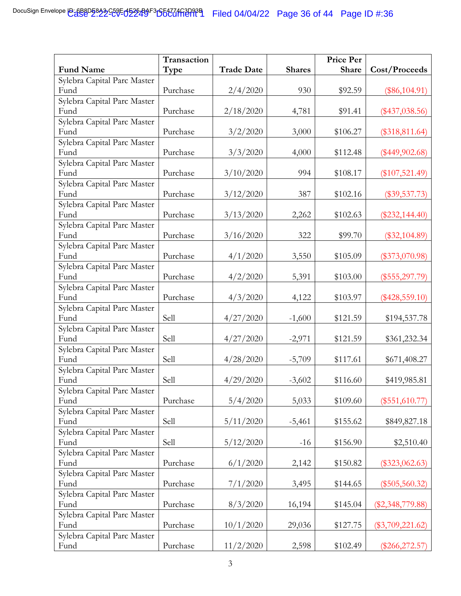| <b>Fund Name</b><br><b>Trade Date</b><br><b>Shares</b><br>Share<br>Cost/Proceeds<br>Type<br>Sylebra Capital Parc Master<br>Purchase<br>Fund<br>2/4/2020<br>930<br>\$92.59<br>$(\$86,104.91)$<br>Sylebra Capital Parc Master<br>Purchase<br>Fund<br>2/18/2020<br>4,781<br>\$91.41<br>$(\$437,038.56)$<br>Sylebra Capital Parc Master<br>Purchase<br>Fund<br>3/2/2020<br>\$106.27<br>3,000<br>$(\$318,811.64)$<br>Sylebra Capital Parc Master<br>Fund<br>Purchase<br>3/3/2020<br>\$112.48<br>4,000<br>$(\$449,902.68)$<br>Sylebra Capital Parc Master<br>Fund<br>Purchase<br>3/10/2020<br>994<br>\$108.17<br>$(\$107,521.49)$<br>Sylebra Capital Parc Master<br>Purchase<br>3/12/2020<br>387<br>\$102.16<br>Fund<br>$(\$39,537.73)$<br>Sylebra Capital Parc Master<br>Purchase<br>Fund<br>3/13/2020<br>\$102.63<br>2,262<br>$(\$232,144.40)$<br>Sylebra Capital Parc Master<br>Purchase<br>Fund<br>3/16/2020<br>322<br>\$99.70<br>$(\$32,104.89)$<br>Sylebra Capital Parc Master<br>Purchase<br>4/1/2020<br>Fund<br>3,550<br>\$105.09<br>$(\$373,070.98)$<br>Sylebra Capital Parc Master<br>Purchase<br>Fund<br>4/2/2020<br>5,391<br>\$103.00<br>$(\$555,297.79)$<br>Sylebra Capital Parc Master<br>Fund<br>Purchase<br>4/3/2020<br>\$103.97<br>$(\$428,559.10)$<br>4,122<br>Sylebra Capital Parc Master<br>Sell<br>Fund<br>4/27/2020<br>\$121.59<br>$-1,600$<br>\$194,537.78<br>Sylebra Capital Parc Master<br>Sell<br>4/27/2020<br>\$121.59<br>\$361,232.34<br>Fund<br>$-2,971$<br>Sylebra Capital Parc Master<br>Sell<br>Fund<br>4/28/2020<br>\$117.61<br>$-5,709$<br>\$671,408.27<br>Sylebra Capital Parc Master<br>Sell<br>4/29/2020<br>\$116.60<br>\$419,985.81<br>Fund<br>$-3,602$<br>Sylebra Capital Parc Master<br>5/4/2020<br>5,033<br>Fund<br>Purchase<br>\$109.60<br>$(\$551,610.77)$<br>Sylebra Capital Parc Master<br>Sell<br>Fund<br>5/11/2020<br>\$155.62<br>\$849,827.18<br>$-5,461$<br>Sylebra Capital Parc Master<br>Sell<br>5/12/2020<br>Fund<br>\$156.90<br>$-16$<br>\$2,510.40<br>Sylebra Capital Parc Master<br>6/1/2020<br>Fund<br>Purchase<br>\$150.82<br>$(\$323,062.63)$<br>2,142<br>Sylebra Capital Parc Master<br>Fund<br>Purchase<br>7/1/2020<br>3,495<br>\$144.65<br>$(\$505,560.32)$<br>Sylebra Capital Parc Master<br>Purchase<br>Fund<br>8/3/2020<br>\$145.04<br>16,194<br>$(\$2,348,779.88)$<br>Sylebra Capital Parc Master<br>Fund<br>Purchase<br>10/1/2020<br>29,036<br>\$127.75<br>$(\$3,709,221.62)$<br>Sylebra Capital Parc Master |      | Transaction |           |       | <b>Price Per</b> |                  |
|--------------------------------------------------------------------------------------------------------------------------------------------------------------------------------------------------------------------------------------------------------------------------------------------------------------------------------------------------------------------------------------------------------------------------------------------------------------------------------------------------------------------------------------------------------------------------------------------------------------------------------------------------------------------------------------------------------------------------------------------------------------------------------------------------------------------------------------------------------------------------------------------------------------------------------------------------------------------------------------------------------------------------------------------------------------------------------------------------------------------------------------------------------------------------------------------------------------------------------------------------------------------------------------------------------------------------------------------------------------------------------------------------------------------------------------------------------------------------------------------------------------------------------------------------------------------------------------------------------------------------------------------------------------------------------------------------------------------------------------------------------------------------------------------------------------------------------------------------------------------------------------------------------------------------------------------------------------------------------------------------------------------------------------------------------------------------------------------------------------------------------------------------------------------------------------------------------------------------------------------------------------------------------------------------------------------------------------------------------------------------------------------------------------------------------------------------------------------------|------|-------------|-----------|-------|------------------|------------------|
|                                                                                                                                                                                                                                                                                                                                                                                                                                                                                                                                                                                                                                                                                                                                                                                                                                                                                                                                                                                                                                                                                                                                                                                                                                                                                                                                                                                                                                                                                                                                                                                                                                                                                                                                                                                                                                                                                                                                                                                                                                                                                                                                                                                                                                                                                                                                                                                                                                                                          |      |             |           |       |                  |                  |
|                                                                                                                                                                                                                                                                                                                                                                                                                                                                                                                                                                                                                                                                                                                                                                                                                                                                                                                                                                                                                                                                                                                                                                                                                                                                                                                                                                                                                                                                                                                                                                                                                                                                                                                                                                                                                                                                                                                                                                                                                                                                                                                                                                                                                                                                                                                                                                                                                                                                          |      |             |           |       |                  |                  |
|                                                                                                                                                                                                                                                                                                                                                                                                                                                                                                                                                                                                                                                                                                                                                                                                                                                                                                                                                                                                                                                                                                                                                                                                                                                                                                                                                                                                                                                                                                                                                                                                                                                                                                                                                                                                                                                                                                                                                                                                                                                                                                                                                                                                                                                                                                                                                                                                                                                                          |      |             |           |       |                  |                  |
|                                                                                                                                                                                                                                                                                                                                                                                                                                                                                                                                                                                                                                                                                                                                                                                                                                                                                                                                                                                                                                                                                                                                                                                                                                                                                                                                                                                                                                                                                                                                                                                                                                                                                                                                                                                                                                                                                                                                                                                                                                                                                                                                                                                                                                                                                                                                                                                                                                                                          |      |             |           |       |                  |                  |
|                                                                                                                                                                                                                                                                                                                                                                                                                                                                                                                                                                                                                                                                                                                                                                                                                                                                                                                                                                                                                                                                                                                                                                                                                                                                                                                                                                                                                                                                                                                                                                                                                                                                                                                                                                                                                                                                                                                                                                                                                                                                                                                                                                                                                                                                                                                                                                                                                                                                          |      |             |           |       |                  |                  |
|                                                                                                                                                                                                                                                                                                                                                                                                                                                                                                                                                                                                                                                                                                                                                                                                                                                                                                                                                                                                                                                                                                                                                                                                                                                                                                                                                                                                                                                                                                                                                                                                                                                                                                                                                                                                                                                                                                                                                                                                                                                                                                                                                                                                                                                                                                                                                                                                                                                                          |      |             |           |       |                  |                  |
|                                                                                                                                                                                                                                                                                                                                                                                                                                                                                                                                                                                                                                                                                                                                                                                                                                                                                                                                                                                                                                                                                                                                                                                                                                                                                                                                                                                                                                                                                                                                                                                                                                                                                                                                                                                                                                                                                                                                                                                                                                                                                                                                                                                                                                                                                                                                                                                                                                                                          |      |             |           |       |                  |                  |
|                                                                                                                                                                                                                                                                                                                                                                                                                                                                                                                                                                                                                                                                                                                                                                                                                                                                                                                                                                                                                                                                                                                                                                                                                                                                                                                                                                                                                                                                                                                                                                                                                                                                                                                                                                                                                                                                                                                                                                                                                                                                                                                                                                                                                                                                                                                                                                                                                                                                          |      |             |           |       |                  |                  |
|                                                                                                                                                                                                                                                                                                                                                                                                                                                                                                                                                                                                                                                                                                                                                                                                                                                                                                                                                                                                                                                                                                                                                                                                                                                                                                                                                                                                                                                                                                                                                                                                                                                                                                                                                                                                                                                                                                                                                                                                                                                                                                                                                                                                                                                                                                                                                                                                                                                                          |      |             |           |       |                  |                  |
|                                                                                                                                                                                                                                                                                                                                                                                                                                                                                                                                                                                                                                                                                                                                                                                                                                                                                                                                                                                                                                                                                                                                                                                                                                                                                                                                                                                                                                                                                                                                                                                                                                                                                                                                                                                                                                                                                                                                                                                                                                                                                                                                                                                                                                                                                                                                                                                                                                                                          |      |             |           |       |                  |                  |
|                                                                                                                                                                                                                                                                                                                                                                                                                                                                                                                                                                                                                                                                                                                                                                                                                                                                                                                                                                                                                                                                                                                                                                                                                                                                                                                                                                                                                                                                                                                                                                                                                                                                                                                                                                                                                                                                                                                                                                                                                                                                                                                                                                                                                                                                                                                                                                                                                                                                          |      |             |           |       |                  |                  |
|                                                                                                                                                                                                                                                                                                                                                                                                                                                                                                                                                                                                                                                                                                                                                                                                                                                                                                                                                                                                                                                                                                                                                                                                                                                                                                                                                                                                                                                                                                                                                                                                                                                                                                                                                                                                                                                                                                                                                                                                                                                                                                                                                                                                                                                                                                                                                                                                                                                                          |      |             |           |       |                  |                  |
|                                                                                                                                                                                                                                                                                                                                                                                                                                                                                                                                                                                                                                                                                                                                                                                                                                                                                                                                                                                                                                                                                                                                                                                                                                                                                                                                                                                                                                                                                                                                                                                                                                                                                                                                                                                                                                                                                                                                                                                                                                                                                                                                                                                                                                                                                                                                                                                                                                                                          |      |             |           |       |                  |                  |
|                                                                                                                                                                                                                                                                                                                                                                                                                                                                                                                                                                                                                                                                                                                                                                                                                                                                                                                                                                                                                                                                                                                                                                                                                                                                                                                                                                                                                                                                                                                                                                                                                                                                                                                                                                                                                                                                                                                                                                                                                                                                                                                                                                                                                                                                                                                                                                                                                                                                          |      |             |           |       |                  |                  |
|                                                                                                                                                                                                                                                                                                                                                                                                                                                                                                                                                                                                                                                                                                                                                                                                                                                                                                                                                                                                                                                                                                                                                                                                                                                                                                                                                                                                                                                                                                                                                                                                                                                                                                                                                                                                                                                                                                                                                                                                                                                                                                                                                                                                                                                                                                                                                                                                                                                                          |      |             |           |       |                  |                  |
|                                                                                                                                                                                                                                                                                                                                                                                                                                                                                                                                                                                                                                                                                                                                                                                                                                                                                                                                                                                                                                                                                                                                                                                                                                                                                                                                                                                                                                                                                                                                                                                                                                                                                                                                                                                                                                                                                                                                                                                                                                                                                                                                                                                                                                                                                                                                                                                                                                                                          |      |             |           |       |                  |                  |
|                                                                                                                                                                                                                                                                                                                                                                                                                                                                                                                                                                                                                                                                                                                                                                                                                                                                                                                                                                                                                                                                                                                                                                                                                                                                                                                                                                                                                                                                                                                                                                                                                                                                                                                                                                                                                                                                                                                                                                                                                                                                                                                                                                                                                                                                                                                                                                                                                                                                          |      |             |           |       |                  |                  |
|                                                                                                                                                                                                                                                                                                                                                                                                                                                                                                                                                                                                                                                                                                                                                                                                                                                                                                                                                                                                                                                                                                                                                                                                                                                                                                                                                                                                                                                                                                                                                                                                                                                                                                                                                                                                                                                                                                                                                                                                                                                                                                                                                                                                                                                                                                                                                                                                                                                                          |      |             |           |       |                  |                  |
|                                                                                                                                                                                                                                                                                                                                                                                                                                                                                                                                                                                                                                                                                                                                                                                                                                                                                                                                                                                                                                                                                                                                                                                                                                                                                                                                                                                                                                                                                                                                                                                                                                                                                                                                                                                                                                                                                                                                                                                                                                                                                                                                                                                                                                                                                                                                                                                                                                                                          |      |             |           |       |                  |                  |
|                                                                                                                                                                                                                                                                                                                                                                                                                                                                                                                                                                                                                                                                                                                                                                                                                                                                                                                                                                                                                                                                                                                                                                                                                                                                                                                                                                                                                                                                                                                                                                                                                                                                                                                                                                                                                                                                                                                                                                                                                                                                                                                                                                                                                                                                                                                                                                                                                                                                          |      |             |           |       |                  |                  |
|                                                                                                                                                                                                                                                                                                                                                                                                                                                                                                                                                                                                                                                                                                                                                                                                                                                                                                                                                                                                                                                                                                                                                                                                                                                                                                                                                                                                                                                                                                                                                                                                                                                                                                                                                                                                                                                                                                                                                                                                                                                                                                                                                                                                                                                                                                                                                                                                                                                                          |      |             |           |       |                  |                  |
|                                                                                                                                                                                                                                                                                                                                                                                                                                                                                                                                                                                                                                                                                                                                                                                                                                                                                                                                                                                                                                                                                                                                                                                                                                                                                                                                                                                                                                                                                                                                                                                                                                                                                                                                                                                                                                                                                                                                                                                                                                                                                                                                                                                                                                                                                                                                                                                                                                                                          |      |             |           |       |                  |                  |
|                                                                                                                                                                                                                                                                                                                                                                                                                                                                                                                                                                                                                                                                                                                                                                                                                                                                                                                                                                                                                                                                                                                                                                                                                                                                                                                                                                                                                                                                                                                                                                                                                                                                                                                                                                                                                                                                                                                                                                                                                                                                                                                                                                                                                                                                                                                                                                                                                                                                          |      |             |           |       |                  |                  |
|                                                                                                                                                                                                                                                                                                                                                                                                                                                                                                                                                                                                                                                                                                                                                                                                                                                                                                                                                                                                                                                                                                                                                                                                                                                                                                                                                                                                                                                                                                                                                                                                                                                                                                                                                                                                                                                                                                                                                                                                                                                                                                                                                                                                                                                                                                                                                                                                                                                                          |      |             |           |       |                  |                  |
|                                                                                                                                                                                                                                                                                                                                                                                                                                                                                                                                                                                                                                                                                                                                                                                                                                                                                                                                                                                                                                                                                                                                                                                                                                                                                                                                                                                                                                                                                                                                                                                                                                                                                                                                                                                                                                                                                                                                                                                                                                                                                                                                                                                                                                                                                                                                                                                                                                                                          |      |             |           |       |                  |                  |
|                                                                                                                                                                                                                                                                                                                                                                                                                                                                                                                                                                                                                                                                                                                                                                                                                                                                                                                                                                                                                                                                                                                                                                                                                                                                                                                                                                                                                                                                                                                                                                                                                                                                                                                                                                                                                                                                                                                                                                                                                                                                                                                                                                                                                                                                                                                                                                                                                                                                          |      |             |           |       |                  |                  |
|                                                                                                                                                                                                                                                                                                                                                                                                                                                                                                                                                                                                                                                                                                                                                                                                                                                                                                                                                                                                                                                                                                                                                                                                                                                                                                                                                                                                                                                                                                                                                                                                                                                                                                                                                                                                                                                                                                                                                                                                                                                                                                                                                                                                                                                                                                                                                                                                                                                                          |      |             |           |       |                  |                  |
|                                                                                                                                                                                                                                                                                                                                                                                                                                                                                                                                                                                                                                                                                                                                                                                                                                                                                                                                                                                                                                                                                                                                                                                                                                                                                                                                                                                                                                                                                                                                                                                                                                                                                                                                                                                                                                                                                                                                                                                                                                                                                                                                                                                                                                                                                                                                                                                                                                                                          |      |             |           |       |                  |                  |
|                                                                                                                                                                                                                                                                                                                                                                                                                                                                                                                                                                                                                                                                                                                                                                                                                                                                                                                                                                                                                                                                                                                                                                                                                                                                                                                                                                                                                                                                                                                                                                                                                                                                                                                                                                                                                                                                                                                                                                                                                                                                                                                                                                                                                                                                                                                                                                                                                                                                          |      |             |           |       |                  |                  |
|                                                                                                                                                                                                                                                                                                                                                                                                                                                                                                                                                                                                                                                                                                                                                                                                                                                                                                                                                                                                                                                                                                                                                                                                                                                                                                                                                                                                                                                                                                                                                                                                                                                                                                                                                                                                                                                                                                                                                                                                                                                                                                                                                                                                                                                                                                                                                                                                                                                                          |      |             |           |       |                  |                  |
|                                                                                                                                                                                                                                                                                                                                                                                                                                                                                                                                                                                                                                                                                                                                                                                                                                                                                                                                                                                                                                                                                                                                                                                                                                                                                                                                                                                                                                                                                                                                                                                                                                                                                                                                                                                                                                                                                                                                                                                                                                                                                                                                                                                                                                                                                                                                                                                                                                                                          |      |             |           |       |                  |                  |
|                                                                                                                                                                                                                                                                                                                                                                                                                                                                                                                                                                                                                                                                                                                                                                                                                                                                                                                                                                                                                                                                                                                                                                                                                                                                                                                                                                                                                                                                                                                                                                                                                                                                                                                                                                                                                                                                                                                                                                                                                                                                                                                                                                                                                                                                                                                                                                                                                                                                          |      |             |           |       |                  |                  |
|                                                                                                                                                                                                                                                                                                                                                                                                                                                                                                                                                                                                                                                                                                                                                                                                                                                                                                                                                                                                                                                                                                                                                                                                                                                                                                                                                                                                                                                                                                                                                                                                                                                                                                                                                                                                                                                                                                                                                                                                                                                                                                                                                                                                                                                                                                                                                                                                                                                                          |      |             |           |       |                  |                  |
|                                                                                                                                                                                                                                                                                                                                                                                                                                                                                                                                                                                                                                                                                                                                                                                                                                                                                                                                                                                                                                                                                                                                                                                                                                                                                                                                                                                                                                                                                                                                                                                                                                                                                                                                                                                                                                                                                                                                                                                                                                                                                                                                                                                                                                                                                                                                                                                                                                                                          |      |             |           |       |                  |                  |
|                                                                                                                                                                                                                                                                                                                                                                                                                                                                                                                                                                                                                                                                                                                                                                                                                                                                                                                                                                                                                                                                                                                                                                                                                                                                                                                                                                                                                                                                                                                                                                                                                                                                                                                                                                                                                                                                                                                                                                                                                                                                                                                                                                                                                                                                                                                                                                                                                                                                          |      |             |           |       |                  |                  |
|                                                                                                                                                                                                                                                                                                                                                                                                                                                                                                                                                                                                                                                                                                                                                                                                                                                                                                                                                                                                                                                                                                                                                                                                                                                                                                                                                                                                                                                                                                                                                                                                                                                                                                                                                                                                                                                                                                                                                                                                                                                                                                                                                                                                                                                                                                                                                                                                                                                                          |      |             |           |       |                  |                  |
|                                                                                                                                                                                                                                                                                                                                                                                                                                                                                                                                                                                                                                                                                                                                                                                                                                                                                                                                                                                                                                                                                                                                                                                                                                                                                                                                                                                                                                                                                                                                                                                                                                                                                                                                                                                                                                                                                                                                                                                                                                                                                                                                                                                                                                                                                                                                                                                                                                                                          |      |             |           |       |                  |                  |
|                                                                                                                                                                                                                                                                                                                                                                                                                                                                                                                                                                                                                                                                                                                                                                                                                                                                                                                                                                                                                                                                                                                                                                                                                                                                                                                                                                                                                                                                                                                                                                                                                                                                                                                                                                                                                                                                                                                                                                                                                                                                                                                                                                                                                                                                                                                                                                                                                                                                          |      |             |           |       |                  |                  |
|                                                                                                                                                                                                                                                                                                                                                                                                                                                                                                                                                                                                                                                                                                                                                                                                                                                                                                                                                                                                                                                                                                                                                                                                                                                                                                                                                                                                                                                                                                                                                                                                                                                                                                                                                                                                                                                                                                                                                                                                                                                                                                                                                                                                                                                                                                                                                                                                                                                                          |      |             |           |       |                  |                  |
|                                                                                                                                                                                                                                                                                                                                                                                                                                                                                                                                                                                                                                                                                                                                                                                                                                                                                                                                                                                                                                                                                                                                                                                                                                                                                                                                                                                                                                                                                                                                                                                                                                                                                                                                                                                                                                                                                                                                                                                                                                                                                                                                                                                                                                                                                                                                                                                                                                                                          |      |             |           |       |                  |                  |
|                                                                                                                                                                                                                                                                                                                                                                                                                                                                                                                                                                                                                                                                                                                                                                                                                                                                                                                                                                                                                                                                                                                                                                                                                                                                                                                                                                                                                                                                                                                                                                                                                                                                                                                                                                                                                                                                                                                                                                                                                                                                                                                                                                                                                                                                                                                                                                                                                                                                          |      |             |           |       |                  |                  |
|                                                                                                                                                                                                                                                                                                                                                                                                                                                                                                                                                                                                                                                                                                                                                                                                                                                                                                                                                                                                                                                                                                                                                                                                                                                                                                                                                                                                                                                                                                                                                                                                                                                                                                                                                                                                                                                                                                                                                                                                                                                                                                                                                                                                                                                                                                                                                                                                                                                                          |      |             |           |       |                  |                  |
|                                                                                                                                                                                                                                                                                                                                                                                                                                                                                                                                                                                                                                                                                                                                                                                                                                                                                                                                                                                                                                                                                                                                                                                                                                                                                                                                                                                                                                                                                                                                                                                                                                                                                                                                                                                                                                                                                                                                                                                                                                                                                                                                                                                                                                                                                                                                                                                                                                                                          |      |             |           |       |                  |                  |
|                                                                                                                                                                                                                                                                                                                                                                                                                                                                                                                                                                                                                                                                                                                                                                                                                                                                                                                                                                                                                                                                                                                                                                                                                                                                                                                                                                                                                                                                                                                                                                                                                                                                                                                                                                                                                                                                                                                                                                                                                                                                                                                                                                                                                                                                                                                                                                                                                                                                          | Fund | Purchase    | 11/2/2020 | 2,598 | \$102.49         | $(\$266,272.57)$ |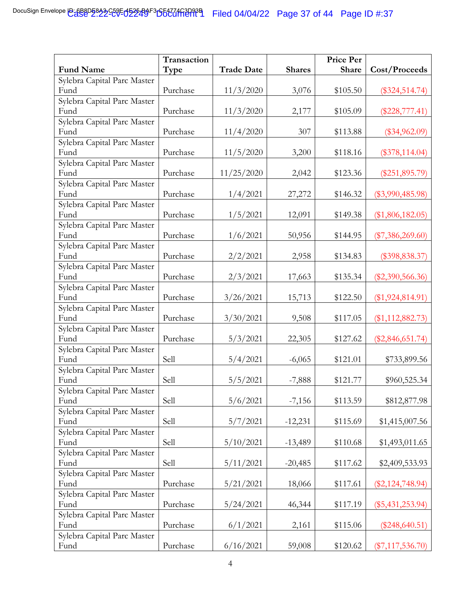|                                     | Transaction |                   |               | <b>Price Per</b> |                    |
|-------------------------------------|-------------|-------------------|---------------|------------------|--------------------|
| <b>Fund Name</b>                    | Type        | <b>Trade Date</b> | <b>Shares</b> | Share            | Cost/Proceeds      |
| Sylebra Capital Parc Master         |             |                   |               |                  |                    |
| Fund                                | Purchase    | 11/3/2020         | 3,076         | \$105.50         | $(\$324,514.74)$   |
| Sylebra Capital Parc Master         |             |                   |               |                  |                    |
| Fund                                | Purchase    | 11/3/2020         | 2,177         | \$105.09         | $(\$228,777.41)$   |
| Sylebra Capital Parc Master         |             |                   |               |                  |                    |
| Fund                                | Purchase    | 11/4/2020         | 307           | \$113.88         | $(\$34,962.09)$    |
| Sylebra Capital Parc Master         |             |                   |               |                  |                    |
| Fund                                | Purchase    | 11/5/2020         | 3,200         | \$118.16         | $(\$378,114.04)$   |
| Sylebra Capital Parc Master<br>Fund |             |                   |               |                  |                    |
| Sylebra Capital Parc Master         | Purchase    | 11/25/2020        | 2,042         | \$123.36         | $(\$251,895.79)$   |
| Fund                                | Purchase    | 1/4/2021          | 27,272        | \$146.32         | $(\$3,990,485.98)$ |
| Sylebra Capital Parc Master         |             |                   |               |                  |                    |
| Fund                                | Purchase    | 1/5/2021          | 12,091        | \$149.38         | $(\$1,806,182.05)$ |
| Sylebra Capital Parc Master         |             |                   |               |                  |                    |
| Fund                                | Purchase    | 1/6/2021          | 50,956        | \$144.95         | $(\$7,386,269.60)$ |
| Sylebra Capital Parc Master         |             |                   |               |                  |                    |
| Fund                                | Purchase    | 2/2/2021          | 2,958         | \$134.83         | $(\$398,838.37)$   |
| Sylebra Capital Parc Master         |             |                   |               |                  |                    |
| Fund                                | Purchase    | 2/3/2021          | 17,663        | \$135.34         | $(\$2,390,566.36)$ |
| Sylebra Capital Parc Master         |             |                   |               |                  |                    |
| Fund                                | Purchase    | 3/26/2021         | 15,713        | \$122.50         | $(\$1,924,814.91)$ |
| Sylebra Capital Parc Master         |             |                   |               |                  |                    |
| Fund                                | Purchase    | 3/30/2021         | 9,508         | \$117.05         | $(\$1,112,882.73)$ |
| Sylebra Capital Parc Master         |             |                   |               |                  |                    |
| Fund                                | Purchase    | 5/3/2021          | 22,305        | \$127.62         | $(\$2,846,651.74)$ |
| Sylebra Capital Parc Master<br>Fund | Sell        |                   |               |                  |                    |
| Sylebra Capital Parc Master         |             | 5/4/2021          | $-6,065$      | \$121.01         | \$733,899.56       |
| Fund                                | Sell        | 5/5/2021          | $-7,888$      | \$121.77         | \$960,525.34       |
| Sylebra Capital Parc Master         |             |                   |               |                  |                    |
| Fund                                | Sell        | 5/6/2021          | $-7,156$      | \$113.59         | \$812,877.98       |
| Sylebra Capital Parc Master         |             |                   |               |                  |                    |
| Fund                                | Sell        | 5/7/2021          | $-12,231$     | \$115.69         | \$1,415,007.56     |
| Sylebra Capital Parc Master         |             |                   |               |                  |                    |
| Fund                                | Sell        | 5/10/2021         | $-13,489$     | \$110.68         | \$1,493,011.65     |
| Sylebra Capital Parc Master         |             |                   |               |                  |                    |
| Fund                                | Sell        | 5/11/2021         | $-20,485$     | \$117.62         | \$2,409,533.93     |
| Sylebra Capital Parc Master         |             |                   |               |                  |                    |
| Fund                                | Purchase    | 5/21/2021         | 18,066        | \$117.61         | $(\$2,124,748.94)$ |
| Sylebra Capital Parc Master         |             |                   |               |                  |                    |
| Fund                                | Purchase    | 5/24/2021         | 46,344        | \$117.19         | $(\$5,431,253.94)$ |
| Sylebra Capital Parc Master         |             |                   |               |                  |                    |
| Fund                                | Purchase    | 6/1/2021          | 2,161         | \$115.06         | $(\$248,640.51)$   |
| Sylebra Capital Parc Master         |             |                   |               |                  |                    |
| Fund                                | Purchase    | 6/16/2021         | 59,008        | \$120.62         | $(\$7,117,536.70)$ |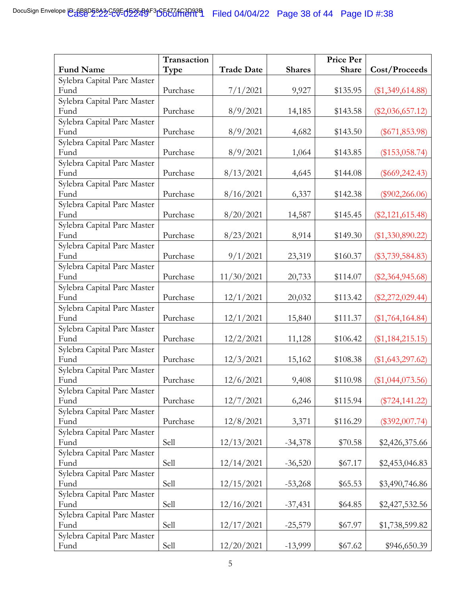|                                     | Transaction |                   |               | <b>Price Per</b> |                    |
|-------------------------------------|-------------|-------------------|---------------|------------------|--------------------|
| <b>Fund Name</b>                    | Type        | <b>Trade Date</b> | <b>Shares</b> | Share            | Cost/Proceeds      |
| Sylebra Capital Parc Master         |             |                   |               |                  |                    |
| Fund                                | Purchase    | 7/1/2021          | 9,927         | \$135.95         | $(\$1,349,614.88)$ |
| Sylebra Capital Parc Master         |             |                   |               |                  |                    |
| Fund                                | Purchase    | 8/9/2021          | 14,185        | \$143.58         | $(\$2,036,657.12)$ |
| Sylebra Capital Parc Master         |             |                   |               |                  |                    |
| Fund                                | Purchase    | 8/9/2021          | 4,682         | \$143.50         | $(\$671,853.98)$   |
| Sylebra Capital Parc Master         |             |                   |               |                  |                    |
| Fund                                | Purchase    | 8/9/2021          | 1,064         | \$143.85         | $(\$153,058.74)$   |
| Sylebra Capital Parc Master         |             |                   |               |                  |                    |
| Fund                                | Purchase    | 8/13/2021         | 4,645         | \$144.08         | $(\$669,242.43)$   |
| Sylebra Capital Parc Master<br>Fund | Purchase    | 8/16/2021         | 6,337         | \$142.38         | $(\$902,266.06)$   |
| Sylebra Capital Parc Master         |             |                   |               |                  |                    |
| Fund                                | Purchase    | 8/20/2021         | 14,587        | \$145.45         | $(\$2,121,615.48)$ |
| Sylebra Capital Parc Master         |             |                   |               |                  |                    |
| Fund                                | Purchase    | 8/23/2021         | 8,914         | \$149.30         | $(\$1,330,890.22)$ |
| Sylebra Capital Parc Master         |             |                   |               |                  |                    |
| Fund                                | Purchase    | 9/1/2021          | 23,319        | \$160.37         | $(\$3,739,584.83)$ |
| Sylebra Capital Parc Master         |             |                   |               |                  |                    |
| Fund                                | Purchase    | 11/30/2021        | 20,733        | \$114.07         | $(\$2,364,945.68)$ |
| Sylebra Capital Parc Master         |             |                   |               |                  |                    |
| Fund                                | Purchase    | 12/1/2021         | 20,032        | \$113.42         | $(\$2,272,029.44)$ |
| Sylebra Capital Parc Master         |             |                   |               |                  |                    |
| Fund                                | Purchase    | 12/1/2021         | 15,840        | \$111.37         | $(\$1,764,164.84)$ |
| Sylebra Capital Parc Master         |             |                   |               |                  |                    |
| Fund                                | Purchase    | 12/2/2021         | 11,128        | \$106.42         | $(\$1,184,215.15)$ |
| Sylebra Capital Parc Master         |             |                   |               |                  |                    |
| Fund<br>Sylebra Capital Parc Master | Purchase    | 12/3/2021         | 15,162        | \$108.38         | $(\$1,643,297.62)$ |
| Fund                                | Purchase    | 12/6/2021         | 9,408         | \$110.98         | $(\$1,044,073.56)$ |
| Sylebra Capital Parc Master         |             |                   |               |                  |                    |
| Fund                                | Purchase    | 12/7/2021         | 6,246         | \$115.94         | $(\$724, 141.22)$  |
| Sylebra Capital Parc Master         |             |                   |               |                  |                    |
| Fund                                | Purchase    | 12/8/2021         | 3,371         | \$116.29         | $(\$392,007.74)$   |
| Sylebra Capital Parc Master         |             |                   |               |                  |                    |
| Fund                                | Sell        | 12/13/2021        | $-34,378$     | \$70.58          | \$2,426,375.66     |
| Sylebra Capital Parc Master         |             |                   |               |                  |                    |
| Fund                                | Sell        | 12/14/2021        | $-36,520$     | \$67.17          | \$2,453,046.83     |
| Sylebra Capital Parc Master         |             |                   |               |                  |                    |
| Fund                                | Sell        | 12/15/2021        | $-53,268$     | \$65.53          | \$3,490,746.86     |
| Sylebra Capital Parc Master         |             |                   |               |                  |                    |
| Fund                                | Sell        | 12/16/2021        | $-37,431$     | \$64.85          | \$2,427,532.56     |
| Sylebra Capital Parc Master         |             |                   |               |                  |                    |
| Fund                                | Sell        | 12/17/2021        | $-25,579$     | \$67.97          | \$1,738,599.82     |
| Sylebra Capital Parc Master         |             |                   |               |                  |                    |
| Fund                                | Sell        | 12/20/2021        | $-13,999$     | \$67.62          | \$946,650.39       |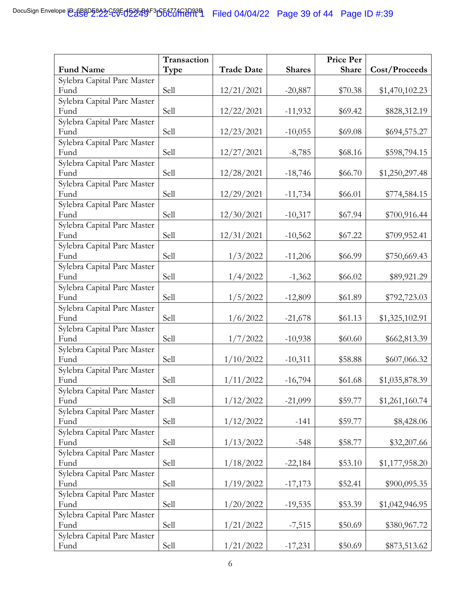|                                     | Transaction |                   |               | Price Per |                |
|-------------------------------------|-------------|-------------------|---------------|-----------|----------------|
| <b>Fund Name</b>                    | Type        | <b>Trade Date</b> | <b>Shares</b> | Share     | Cost/Proceeds  |
| Sylebra Capital Parc Master         |             |                   |               |           |                |
| Fund                                | Sell        | 12/21/2021        | $-20,887$     | \$70.38   | \$1,470,102.23 |
| Sylebra Capital Parc Master         |             |                   |               |           |                |
| Fund                                | Sell        | 12/22/2021        | $-11,932$     | \$69.42   | \$828,312.19   |
| Sylebra Capital Parc Master         |             |                   |               |           |                |
| Fund                                | Sell        | 12/23/2021        | $-10,055$     | \$69.08   | \$694,575.27   |
| Sylebra Capital Parc Master         |             |                   |               |           |                |
| Fund                                | Sell        | 12/27/2021        | $-8,785$      | \$68.16   | \$598,794.15   |
| Sylebra Capital Parc Master<br>Fund | Sell        |                   |               |           |                |
| Sylebra Capital Parc Master         |             | 12/28/2021        | $-18,746$     | \$66.70   | \$1,250,297.48 |
| Fund                                | Sell        | 12/29/2021        | $-11,734$     | \$66.01   | \$774,584.15   |
| Sylebra Capital Parc Master         |             |                   |               |           |                |
| Fund                                | Sell        | 12/30/2021        | $-10,317$     | \$67.94   | \$700,916.44   |
| Sylebra Capital Parc Master         |             |                   |               |           |                |
| Fund                                | Sell        | 12/31/2021        | $-10,562$     | \$67.22   | \$709,952.41   |
| Sylebra Capital Parc Master         |             |                   |               |           |                |
| Fund                                | Sell        | 1/3/2022          | $-11,206$     | \$66.99   | \$750,669.43   |
| Sylebra Capital Parc Master         |             |                   |               |           |                |
| Fund                                | Sell        | 1/4/2022          | $-1,362$      | \$66.02   | \$89,921.29    |
| Sylebra Capital Parc Master         |             |                   |               |           |                |
| Fund                                | Sell        | 1/5/2022          | $-12,809$     | \$61.89   | \$792,723.03   |
| Sylebra Capital Parc Master         |             |                   |               |           |                |
| Fund                                | Sell        | 1/6/2022          | $-21,678$     | \$61.13   | \$1,325,102.91 |
| Sylebra Capital Parc Master<br>Fund | Sell        |                   |               |           |                |
| Sylebra Capital Parc Master         |             | 1/7/2022          | $-10,938$     | \$60.60   | \$662,813.39   |
| Fund                                | Sell        | 1/10/2022         | $-10,311$     | \$58.88   | \$607,066.32   |
| Sylebra Capital Parc Master         |             |                   |               |           |                |
| Fund                                | Sell        | 1/11/2022         | $-16,794$     | \$61.68   | \$1,035,878.39 |
| Sylebra Capital Parc Master         |             |                   |               |           |                |
| Fund                                | Sell        | 1/12/2022         | $-21,099$     | \$59.77   | \$1,261,160.74 |
| Sylebra Capital Parc Master         |             |                   |               |           |                |
| Fund                                | Sell        | 1/12/2022         | $-141$        | \$59.77   | \$8,428.06     |
| Sylebra Capital Parc Master         |             |                   |               |           |                |
| Fund                                | Sell        | 1/13/2022         | $-548$        | \$58.77   | \$32,207.66    |
| Sylebra Capital Parc Master         |             |                   |               |           |                |
| Fund                                | Sell        | 1/18/2022         | $-22,184$     | \$53.10   | \$1,177,958.20 |
| Sylebra Capital Parc Master         |             |                   |               |           |                |
| Fund                                | Sell        | 1/19/2022         | $-17,173$     | \$52.41   | \$900,095.35   |
| Sylebra Capital Parc Master<br>Fund | Sell        |                   |               |           |                |
| Sylebra Capital Parc Master         |             | 1/20/2022         | $-19,535$     | \$53.39   | \$1,042,946.95 |
| Fund                                | Sell        | 1/21/2022         | $-7,515$      | \$50.69   | \$380,967.72   |
| Sylebra Capital Parc Master         |             |                   |               |           |                |
| Fund                                | Sell        | 1/21/2022         | $-17,231$     | \$50.69   | \$873,513.62   |
|                                     |             |                   |               |           |                |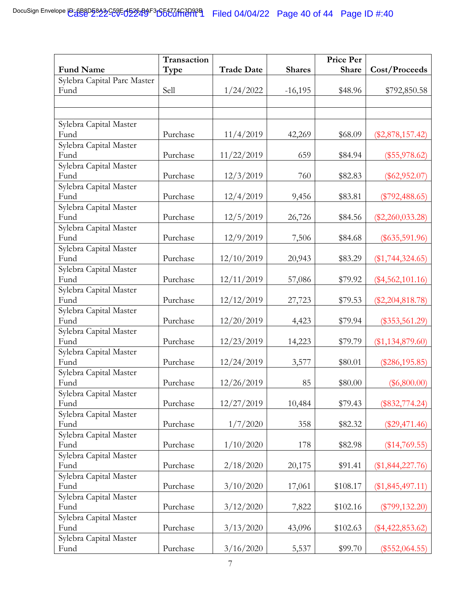|                                | Transaction |                   |               | <b>Price Per</b> |                    |
|--------------------------------|-------------|-------------------|---------------|------------------|--------------------|
| <b>Fund Name</b>               | Type        | <b>Trade Date</b> | <b>Shares</b> | <b>Share</b>     | Cost/Proceeds      |
| Sylebra Capital Parc Master    |             |                   |               |                  |                    |
| Fund                           | Sell        | 1/24/2022         | $-16,195$     | \$48.96          | \$792,850.58       |
|                                |             |                   |               |                  |                    |
|                                |             |                   |               |                  |                    |
| Sylebra Capital Master         |             |                   |               |                  |                    |
| Fund                           | Purchase    | 11/4/2019         | 42,269        | \$68.09          | $(\$2,878,157.42)$ |
| Sylebra Capital Master         |             |                   |               |                  |                    |
| Fund                           | Purchase    | 11/22/2019        | 659           | \$84.94          | $(\$55,978.62)$    |
| Sylebra Capital Master         |             |                   |               |                  |                    |
| Fund                           | Purchase    | 12/3/2019         | 760           | \$82.83          | $(\$62,952.07)$    |
| Sylebra Capital Master<br>Fund |             |                   |               |                  |                    |
| Sylebra Capital Master         | Purchase    | 12/4/2019         | 9,456         | \$83.81          | $(\$792,488.65)$   |
| Fund                           | Purchase    | 12/5/2019         | 26,726        | \$84.56          | $(\$2,260,033.28)$ |
| Sylebra Capital Master         |             |                   |               |                  |                    |
| Fund                           | Purchase    | 12/9/2019         | 7,506         | \$84.68          | $(\$635,591.96)$   |
| Sylebra Capital Master         |             |                   |               |                  |                    |
| Fund                           | Purchase    | 12/10/2019        | 20,943        | \$83.29          | $(\$1,744,324.65)$ |
| Sylebra Capital Master         |             |                   |               |                  |                    |
| Fund                           | Purchase    | 12/11/2019        | 57,086        | \$79.92          | $(\$4,562,101.16)$ |
| Sylebra Capital Master         |             |                   |               |                  |                    |
| Fund                           | Purchase    | 12/12/2019        | 27,723        | \$79.53          | $(\$2,204,818.78)$ |
| Sylebra Capital Master         |             |                   |               |                  |                    |
| Fund                           | Purchase    | 12/20/2019        | 4,423         | \$79.94          | $(\$353,561.29)$   |
| Sylebra Capital Master<br>Fund | Purchase    |                   | 14,223        | \$79.79          |                    |
| Sylebra Capital Master         |             | 12/23/2019        |               |                  | $(\$1,134,879.60)$ |
| Fund                           | Purchase    | 12/24/2019        | 3,577         | \$80.01          | $(\$286, 195.85)$  |
| Sylebra Capital Master         |             |                   |               |                  |                    |
| Fund                           | Purchase    | 12/26/2019        | 85            | \$80.00          | $(\$6,800.00)$     |
| Sylebra Capital Master         |             |                   |               |                  |                    |
| Fund                           | Purchase    | 12/27/2019        | 10,484        | \$79.43          | $(\$832,774.24)$   |
| Sylebra Capital Master         |             |                   |               |                  |                    |
| Fund                           | Purchase    | 1/7/2020          | 358           | \$82.32          | $(\$29,471.46)$    |
| Sylebra Capital Master         |             |                   |               |                  |                    |
| Fund                           | Purchase    | 1/10/2020         | 178           | \$82.98          | $(\$14,769.55)$    |
| Sylebra Capital Master<br>Fund | Purchase    | 2/18/2020         |               |                  |                    |
| Sylebra Capital Master         |             |                   | 20,175        | \$91.41          | $(\$1,844,227.76)$ |
| Fund                           | Purchase    | 3/10/2020         | 17,061        | \$108.17         | $(\$1,845,497.11)$ |
| Sylebra Capital Master         |             |                   |               |                  |                    |
| Fund                           | Purchase    | 3/12/2020         | 7,822         | \$102.16         | $(\$799, 132.20)$  |
| Sylebra Capital Master         |             |                   |               |                  |                    |
| Fund                           | Purchase    | 3/13/2020         | 43,096        | \$102.63         | $(\$4,422,853.62)$ |
| Sylebra Capital Master         |             |                   |               |                  |                    |
| Fund                           | Purchase    | 3/16/2020         | 5,537         | \$99.70          | $(\$552,064.55)$   |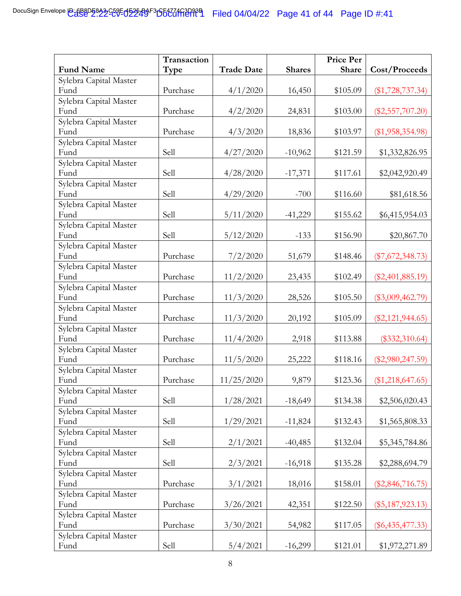|                                | Transaction |                   |               | Price Per |                    |
|--------------------------------|-------------|-------------------|---------------|-----------|--------------------|
| <b>Fund Name</b>               | Type        | <b>Trade Date</b> | <b>Shares</b> | Share     | Cost/Proceeds      |
| Sylebra Capital Master         |             |                   |               |           |                    |
| Fund                           | Purchase    | 4/1/2020          | 16,450        | \$105.09  | $(\$1,728,737.34)$ |
| Sylebra Capital Master         |             |                   |               |           |                    |
| Fund                           | Purchase    | 4/2/2020          | 24,831        | \$103.00  | $(\$2,557,707.20)$ |
| Sylebra Capital Master         |             |                   |               |           |                    |
| Fund                           | Purchase    | 4/3/2020          | 18,836        | \$103.97  | $(\$1,958,354.98)$ |
| Sylebra Capital Master         |             |                   |               |           |                    |
| Fund                           | Sell        | 4/27/2020         | $-10,962$     | \$121.59  | \$1,332,826.95     |
| Sylebra Capital Master<br>Fund |             |                   |               |           |                    |
| Sylebra Capital Master         | Sell        | 4/28/2020         | $-17,371$     | \$117.61  | \$2,042,920.49     |
| Fund                           | Sell        | 4/29/2020         | $-700$        | \$116.60  | \$81,618.56        |
| Sylebra Capital Master         |             |                   |               |           |                    |
| Fund                           | Sell        | 5/11/2020         | $-41,229$     | \$155.62  | \$6,415,954.03     |
| Sylebra Capital Master         |             |                   |               |           |                    |
| Fund                           | Sell        | 5/12/2020         | $-133$        | \$156.90  | \$20,867.70        |
| Sylebra Capital Master         |             |                   |               |           |                    |
| Fund                           | Purchase    | 7/2/2020          | 51,679        | \$148.46  | $(\$7,672,348.73)$ |
| Sylebra Capital Master         |             |                   |               |           |                    |
| Fund                           | Purchase    | 11/2/2020         | 23,435        | \$102.49  | $(\$2,401,885.19)$ |
| Sylebra Capital Master         |             |                   |               |           |                    |
| Fund                           | Purchase    | 11/3/2020         | 28,526        | \$105.50  | $(\$3,009,462.79)$ |
| Sylebra Capital Master         |             |                   |               |           |                    |
| Fund                           | Purchase    | 11/3/2020         | 20,192        | \$105.09  | $(\$2,121,944.65)$ |
| Sylebra Capital Master<br>Fund | Purchase    |                   |               |           |                    |
| Sylebra Capital Master         |             | 11/4/2020         | 2,918         | \$113.88  | $(\$332,310.64)$   |
| Fund                           | Purchase    | 11/5/2020         | 25,222        | \$118.16  | $(\$2,980,247.59)$ |
| Sylebra Capital Master         |             |                   |               |           |                    |
| Fund                           | Purchase    | 11/25/2020        | 9,879         | \$123.36  | $(\$1,218,647.65)$ |
| Sylebra Capital Master         |             |                   |               |           |                    |
| Fund                           | Sell        | 1/28/2021         | $-18,649$     | \$134.38  | \$2,506,020.43     |
| Sylebra Capital Master         |             |                   |               |           |                    |
| Fund                           | Sell        | 1/29/2021         | $-11,824$     | \$132.43  | \$1,565,808.33     |
| Sylebra Capital Master         |             |                   |               |           |                    |
| Fund                           | Sell        | 2/1/2021          | $-40,485$     | \$132.04  | \$5,345,784.86     |
| Sylebra Capital Master         |             |                   |               |           |                    |
| Fund                           | Sell        | 2/3/2021          | $-16,918$     | \$135.28  | \$2,288,694.79     |
| Sylebra Capital Master         |             |                   |               |           |                    |
| Fund                           | Purchase    | 3/1/2021          | 18,016        | \$158.01  | $(\$2,846,716.75)$ |
| Sylebra Capital Master<br>Fund | Purchase    | 3/26/2021         |               | \$122.50  |                    |
| Sylebra Capital Master         |             |                   | 42,351        |           | $(\$5,187,923.13)$ |
| Fund                           | Purchase    | 3/30/2021         | 54,982        | \$117.05  | $(\$6,435,477.33)$ |
| Sylebra Capital Master         |             |                   |               |           |                    |
| Fund                           | Sell        | 5/4/2021          | $-16,299$     | \$121.01  | \$1,972,271.89     |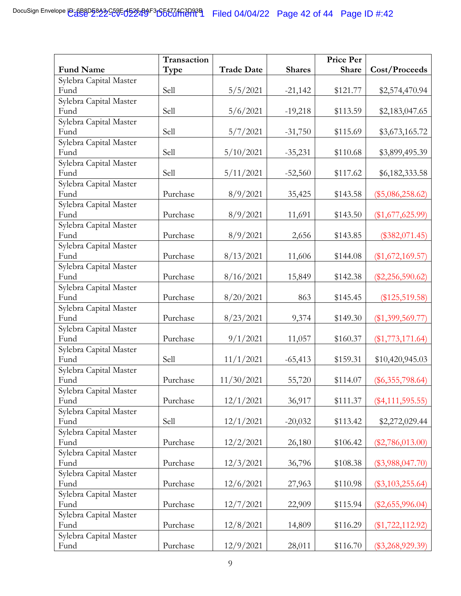|                                | Transaction |                   |               | Price Per |                    |
|--------------------------------|-------------|-------------------|---------------|-----------|--------------------|
| <b>Fund Name</b>               | Type        | <b>Trade Date</b> | <b>Shares</b> | Share     | Cost/Proceeds      |
| Sylebra Capital Master         |             |                   |               |           |                    |
| Fund                           | Sell        | 5/5/2021          | $-21,142$     | \$121.77  | \$2,574,470.94     |
| Sylebra Capital Master         |             |                   |               |           |                    |
| Fund                           | Sell        | 5/6/2021          | $-19,218$     | \$113.59  | \$2,183,047.65     |
| Sylebra Capital Master         |             |                   |               |           |                    |
| Fund                           | Sell        | 5/7/2021          | $-31,750$     | \$115.69  | \$3,673,165.72     |
| Sylebra Capital Master         |             |                   |               |           |                    |
| Fund                           | Sell        | 5/10/2021         | $-35,231$     | \$110.68  | \$3,899,495.39     |
| Sylebra Capital Master         |             |                   |               |           |                    |
| Fund<br>Sylebra Capital Master | Sell        | 5/11/2021         | $-52,560$     | \$117.62  | \$6,182,333.58     |
| Fund                           | Purchase    | 8/9/2021          | 35,425        | \$143.58  | $(\$5,086,258.62)$ |
| Sylebra Capital Master         |             |                   |               |           |                    |
| Fund                           | Purchase    | 8/9/2021          | 11,691        | \$143.50  | $(\$1,677,625.99)$ |
| Sylebra Capital Master         |             |                   |               |           |                    |
| Fund                           | Purchase    | 8/9/2021          | 2,656         | \$143.85  | $(\$382,071.45)$   |
| Sylebra Capital Master         |             |                   |               |           |                    |
| Fund                           | Purchase    | 8/13/2021         | 11,606        | \$144.08  | $(\$1,672,169.57)$ |
| Sylebra Capital Master         |             |                   |               |           |                    |
| Fund                           | Purchase    | 8/16/2021         | 15,849        | \$142.38  | $(\$2,256,590.62)$ |
| Sylebra Capital Master         |             |                   |               |           |                    |
| Fund                           | Purchase    | 8/20/2021         | 863           | \$145.45  | $(\$125,519.58)$   |
| Sylebra Capital Master         |             |                   |               |           |                    |
| Fund                           | Purchase    | 8/23/2021         | 9,374         | \$149.30  | $(\$1,399,569.77)$ |
| Sylebra Capital Master<br>Fund | Purchase    |                   |               |           |                    |
| Sylebra Capital Master         |             | 9/1/2021          | 11,057        | \$160.37  | $(\$1,773,171.64)$ |
| Fund                           | Sell        | 11/1/2021         | $-65,413$     | \$159.31  | \$10,420,945.03    |
| Sylebra Capital Master         |             |                   |               |           |                    |
| Fund                           | Purchase    | 11/30/2021        | 55,720        | \$114.07  | $(\$6,355,798.64)$ |
| Sylebra Capital Master         |             |                   |               |           |                    |
| Fund                           | Purchase    | 12/1/2021         | 36,917        | \$111.37  | $(\$4,111,595.55)$ |
| Sylebra Capital Master         |             |                   |               |           |                    |
| Fund                           | Sell        | 12/1/2021         | $-20,032$     | \$113.42  | \$2,272,029.44     |
| Sylebra Capital Master         |             |                   |               |           |                    |
| Fund                           | Purchase    | 12/2/2021         | 26,180        | \$106.42  | $(\$2,786,013.00)$ |
| Sylebra Capital Master         |             |                   |               |           |                    |
| Fund                           | Purchase    | 12/3/2021         | 36,796        | \$108.38  | $(\$3,988,047.70)$ |
| Sylebra Capital Master         |             |                   |               |           |                    |
| Fund                           | Purchase    | 12/6/2021         | 27,963        | \$110.98  | $(\$3,103,255.64)$ |
| Sylebra Capital Master<br>Fund | Purchase    | 12/7/2021         | 22,909        | \$115.94  | $(\$2,655,996.04)$ |
| Sylebra Capital Master         |             |                   |               |           |                    |
| Fund                           | Purchase    | 12/8/2021         | 14,809        | \$116.29  | $(\$1,722,112.92)$ |
| Sylebra Capital Master         |             |                   |               |           |                    |
| Fund                           | Purchase    | 12/9/2021         | 28,011        | \$116.70  | $(\$3,268,929.39)$ |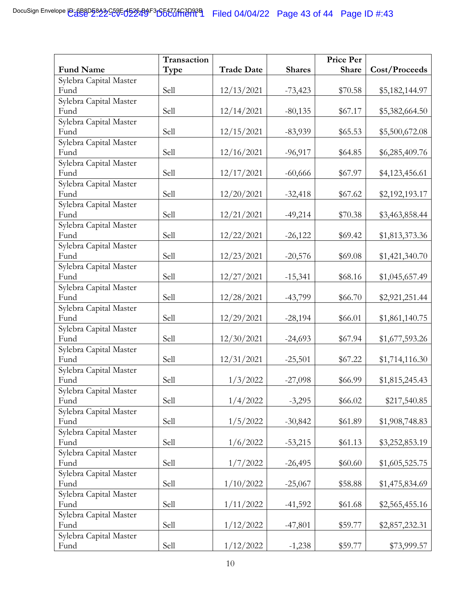|                                | Transaction |                   |               | Price Per |                |
|--------------------------------|-------------|-------------------|---------------|-----------|----------------|
| <b>Fund Name</b>               | Type        | <b>Trade Date</b> | <b>Shares</b> | Share     | Cost/Proceeds  |
| Sylebra Capital Master         |             |                   |               |           |                |
| Fund                           | Sell        | 12/13/2021        | $-73,423$     | \$70.58   | \$5,182,144.97 |
| Sylebra Capital Master         |             |                   |               |           |                |
| Fund                           | Sell        | 12/14/2021        | $-80,135$     | \$67.17   | \$5,382,664.50 |
| Sylebra Capital Master         |             |                   |               |           |                |
| Fund                           | Sell        | 12/15/2021        | $-83,939$     | \$65.53   | \$5,500,672.08 |
| Sylebra Capital Master         |             |                   |               |           |                |
| Fund                           | Sell        | 12/16/2021        | $-96,917$     | \$64.85   | \$6,285,409.76 |
| Sylebra Capital Master         |             |                   |               |           |                |
| Fund<br>Sylebra Capital Master | Sell        | 12/17/2021        | $-60,666$     | \$67.97   | \$4,123,456.61 |
| Fund                           | Sell        | 12/20/2021        | $-32,418$     | \$67.62   | \$2,192,193.17 |
| Sylebra Capital Master         |             |                   |               |           |                |
| Fund                           | Sell        | 12/21/2021        | $-49,214$     | \$70.38   | \$3,463,858.44 |
| Sylebra Capital Master         |             |                   |               |           |                |
| Fund                           | Sell        | 12/22/2021        | $-26,122$     | \$69.42   | \$1,813,373.36 |
| Sylebra Capital Master         |             |                   |               |           |                |
| Fund                           | Sell        | 12/23/2021        | $-20,576$     | \$69.08   | \$1,421,340.70 |
| Sylebra Capital Master         |             |                   |               |           |                |
| Fund                           | Sell        | 12/27/2021        | $-15,341$     | \$68.16   | \$1,045,657.49 |
| Sylebra Capital Master         |             |                   |               |           |                |
| Fund                           | Sell        | 12/28/2021        | $-43,799$     | \$66.70   | \$2,921,251.44 |
| Sylebra Capital Master         |             |                   |               |           |                |
| Fund                           | Sell        | 12/29/2021        | $-28,194$     | \$66.01   | \$1,861,140.75 |
| Sylebra Capital Master         |             |                   |               |           |                |
| Fund                           | Sell        | 12/30/2021        | $-24,693$     | \$67.94   | \$1,677,593.26 |
| Sylebra Capital Master<br>Fund | Sell        |                   |               |           |                |
| Sylebra Capital Master         |             | 12/31/2021        | $-25,501$     | \$67.22   | \$1,714,116.30 |
| Fund                           | Sell        | 1/3/2022          | $-27,098$     | \$66.99   | \$1,815,245.43 |
| Sylebra Capital Master         |             |                   |               |           |                |
| Fund                           | Sell        | 1/4/2022          | $-3,295$      | \$66.02   | \$217,540.85   |
| Sylebra Capital Master         |             |                   |               |           |                |
| Fund                           | Sell        | 1/5/2022          | $-30,842$     | \$61.89   | \$1,908,748.83 |
| Sylebra Capital Master         |             |                   |               |           |                |
| Fund                           | Sell        | 1/6/2022          | $-53,215$     | \$61.13   | \$3,252,853.19 |
| Sylebra Capital Master         |             |                   |               |           |                |
| Fund                           | Sell        | 1/7/2022          | $-26,495$     | \$60.60   | \$1,605,525.75 |
| Sylebra Capital Master         |             |                   |               |           |                |
| Fund                           | Sell        | 1/10/2022         | $-25,067$     | \$58.88   | \$1,475,834.69 |
| Sylebra Capital Master         |             |                   |               |           |                |
| Fund                           | Sell        | 1/11/2022         | $-41,592$     | \$61.68   | \$2,565,455.16 |
| Sylebra Capital Master<br>Fund | Sell        |                   |               |           |                |
|                                |             | 1/12/2022         | $-47,801$     | \$59.77   | \$2,857,232.31 |
| Sylebra Capital Master<br>Fund | Sell        | 1/12/2022         |               | \$59.77   |                |
|                                |             |                   | $-1,238$      |           | \$73,999.57    |